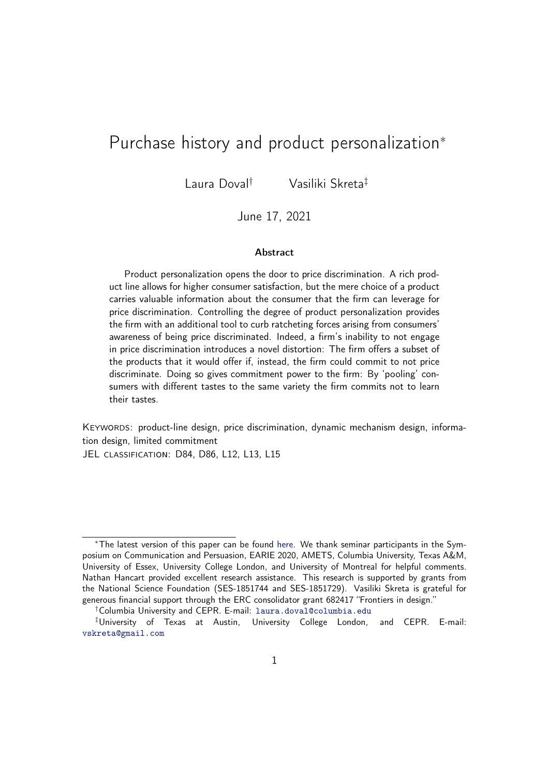# Purchase history and product personalization<sup>∗</sup>

Laura Doval† Vasiliki Skreta‡

### June 17, 2021

#### Abstract

Product personalization opens the door to price discrimination. A rich product line allows for higher consumer satisfaction, but the mere choice of a product carries valuable information about the consumer that the firm can leverage for price discrimination. Controlling the degree of product personalization provides the firm with an additional tool to curb ratcheting forces arising from consumers' awareness of being price discriminated. Indeed, a firm's inability to not engage in price discrimination introduces a novel distortion: The firm offers a subset of the products that it would offer if, instead, the firm could commit to not price discriminate. Doing so gives commitment power to the firm: By 'pooling' consumers with different tastes to the same variety the firm commits not to learn their tastes.

KEYWORDS: product-line design, price discrimination, dynamic mechanism design, information design, limited commitment

JEL CLASSIFICATION: D84, D86, L12, L13, L15

<sup>∗</sup>The latest version of this paper can be found [here.](https://www.dropbox.com/s/io5ywet5vx00ijh/product-line-design.pdf?dl=0) We thank seminar participants in the Symposium on Communication and Persuasion, EARIE 2020, AMETS, Columbia University, Texas A&M, University of Essex, University College London, and University of Montreal for helpful comments. Nathan Hancart provided excellent research assistance. This research is supported by grants from the National Science Foundation (SES-1851744 and SES-1851729). Vasiliki Skreta is grateful for generous financial support through the ERC consolidator grant 682417 "Frontiers in design."

<sup>†</sup>Columbia University and CEPR. E-mail: [laura.doval@columbia.edu](mailto:laura.doval@columbia.edu)

<sup>‡</sup>University of Texas at Austin, University College London, and CEPR. E-mail: [vskreta@gmail.com](mailto:vskreta@gmail.com)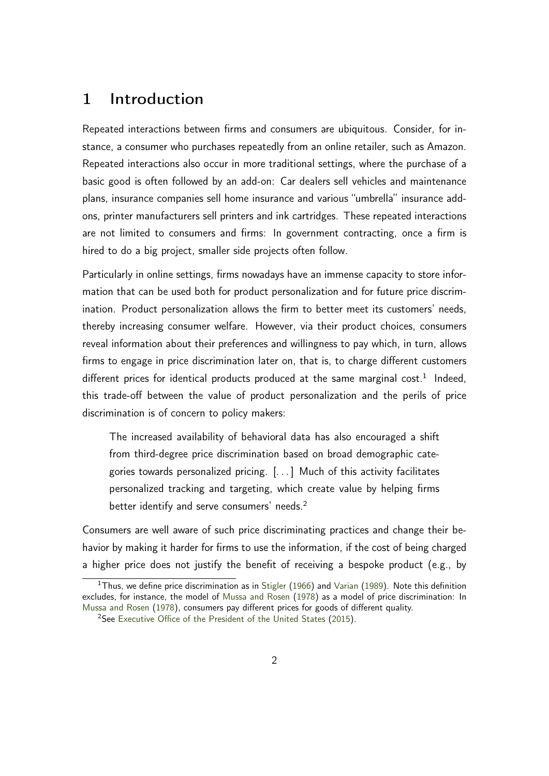# <span id="page-1-0"></span>1 Introduction

Repeated interactions between firms and consumers are ubiquitous. Consider, for instance, a consumer who purchases repeatedly from an online retailer, such as Amazon. Repeated interactions also occur in more traditional settings, where the purchase of a basic good is often followed by an add-on: Car dealers sell vehicles and maintenance plans, insurance companies sell home insurance and various "umbrella" insurance addons, printer manufacturers sell printers and ink cartridges. These repeated interactions are not limited to consumers and firms: In government contracting, once a firm is hired to do a big project, smaller side projects often follow.

Particularly in online settings, firms nowadays have an immense capacity to store information that can be used both for product personalization and for future price discrimination. Product personalization allows the firm to better meet its customers' needs, thereby increasing consumer welfare. However, via their product choices, consumers reveal information about their preferences and willingness to pay which, in turn, allows firms to engage in price discrimination later on, that is, to charge different customers different prices for identical products produced at the same marginal cost.<sup>1</sup> Indeed, this trade-off between the value of product personalization and the perils of price discrimination is of concern to policy makers:

The increased availability of behavioral data has also encouraged a shift from third-degree price discrimination based on broad demographic categories towards personalized pricing. [. . . ] Much of this activity facilitates personalized tracking and targeting, which create value by helping firms better identify and serve consumers' needs.<sup>2</sup>

Consumers are well aware of such price discriminating practices and change their behavior by making it harder for firms to use the information, if the cost of being charged a higher price does not justify the benefit of receiving a bespoke product (e.g., by

<sup>&</sup>lt;sup>1</sup>Thus, we define price discrimination as in [Stigler](#page-37-0) [\(1966\)](#page-37-0) and [Varian](#page-37-1) [\(1989\)](#page-37-1). Note this definition excludes, for instance, the model of [Mussa and Rosen](#page-36-0) [\(1978\)](#page-36-0) as a model of price discrimination: In [Mussa and Rosen](#page-36-0) [\(1978\)](#page-36-0), consumers pay different prices for goods of different quality.

<sup>&</sup>lt;sup>2</sup>See [Executive Office of the President of the United States](#page-35-0) [\(2015\)](#page-35-0).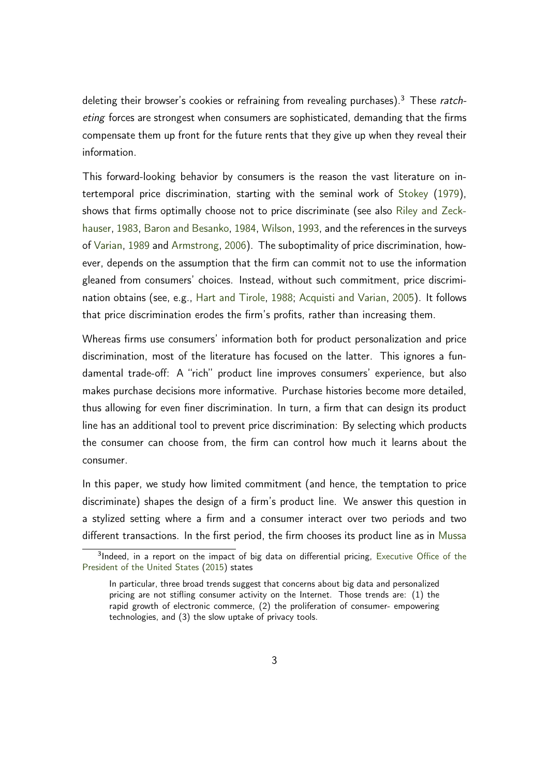deleting their browser's cookies or refraining from revealing purchases).<sup>3</sup> These ratcheting forces are strongest when consumers are sophisticated, demanding that the firms compensate them up front for the future rents that they give up when they reveal their information.

This forward-looking behavior by consumers is the reason the vast literature on intertemporal price discrimination, starting with the seminal work of [Stokey](#page-37-2) [\(1979\)](#page-37-2), shows that firms optimally choose not to price discriminate (see also [Riley and Zeck](#page-37-3)[hauser,](#page-37-3) [1983,](#page-37-3) [Baron and Besanko,](#page-34-0) [1984,](#page-34-0) [Wilson,](#page-37-4) [1993,](#page-37-4) and the references in the surveys of [Varian,](#page-37-1) [1989](#page-37-1) and [Armstrong,](#page-34-1) [2006\)](#page-34-1). The suboptimality of price discrimination, however, depends on the assumption that the firm can commit not to use the information gleaned from consumers' choices. Instead, without such commitment, price discrimination obtains (see, e.g., [Hart and Tirole,](#page-35-1) [1988;](#page-35-1) [Acquisti and Varian,](#page-33-0) [2005\)](#page-33-0). It follows that price discrimination erodes the firm's profits, rather than increasing them.

Whereas firms use consumers' information both for product personalization and price discrimination, most of the literature has focused on the latter. This ignores a fundamental trade-off: A "rich" product line improves consumers' experience, but also makes purchase decisions more informative. Purchase histories become more detailed, thus allowing for even finer discrimination. In turn, a firm that can design its product line has an additional tool to prevent price discrimination: By selecting which products the consumer can choose from, the firm can control how much it learns about the consumer.

In this paper, we study how limited commitment (and hence, the temptation to price discriminate) shapes the design of a firm's product line. We answer this question in a stylized setting where a firm and a consumer interact over two periods and two different transactions. In the first period, the firm chooses its product line as in [Mussa](#page-36-0)

<sup>&</sup>lt;sup>3</sup>[Indeed, in a report on the impact of big data on differential pricing,](#page-36-0) [Executive Office of the](#page-35-0) [President of the United States](#page-36-0) [\(2015\)](#page-35-0) states

[In particular, three broad trends suggest that concerns about big data and personalized](#page-36-0) [pricing are not stifling consumer activity on the Internet. Those trends are: \(1\) the](#page-36-0) [rapid growth of electronic commerce, \(2\) the proliferation of consumer- empowering](#page-36-0) [technologies, and \(3\) the slow uptake of privacy tools.](#page-36-0)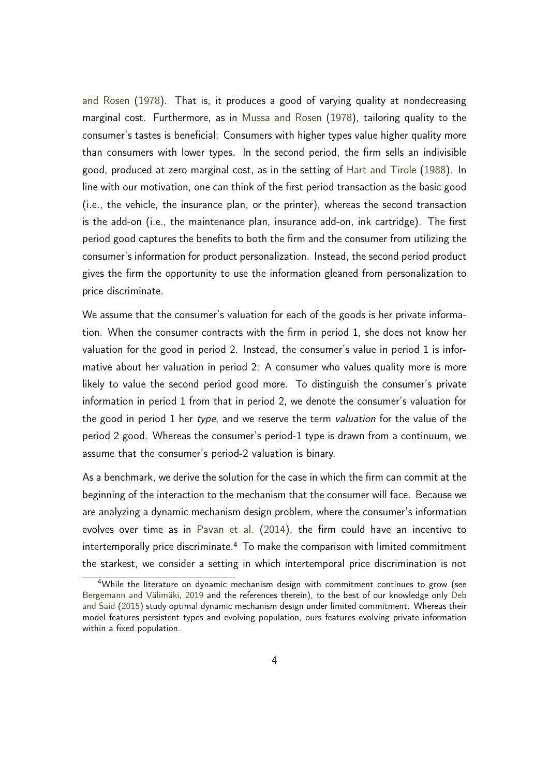[and Rosen](#page-36-0) [\(1978\)](#page-36-0). That is, it produces a good of varying quality at nondecreasing marginal cost. Furthermore, as in [Mussa and Rosen](#page-36-0) [\(1978\)](#page-36-0), tailoring quality to the consumer's tastes is beneficial: Consumers with higher types value higher quality more than consumers with lower types. In the second period, the firm sells an indivisible good, produced at zero marginal cost, as in the setting of [Hart and Tirole](#page-35-1) [\(1988\)](#page-35-1). In line with our motivation, one can think of the first period transaction as the basic good (i.e., the vehicle, the insurance plan, or the printer), whereas the second transaction is the add-on (i.e., the maintenance plan, insurance add-on, ink cartridge). The first period good captures the benefits to both the firm and the consumer from utilizing the consumer's information for product personalization. Instead, the second period product gives the firm the opportunity to use the information gleaned from personalization to price discriminate.

We assume that the consumer's valuation for each of the goods is her private information. When the consumer contracts with the firm in period 1, she does not know her valuation for the good in period 2. Instead, the consumer's value in period 1 is informative about her valuation in period 2: A consumer who values quality more is more likely to value the second period good more. To distinguish the consumer's private information in period 1 from that in period 2, we denote the consumer's valuation for the good in period 1 her type, and we reserve the term valuation for the value of the period 2 good. Whereas the consumer's period-1 type is drawn from a continuum, we assume that the consumer's period-2 valuation is binary.

As a benchmark, we derive the solution for the case in which the firm can commit at the beginning of the interaction to the mechanism that the consumer will face. Because we are analyzing a dynamic mechanism design problem, where the consumer's information evolves over time as in [Pavan et al.](#page-37-5) [\(2014\)](#page-37-5), the firm could have an incentive to intertemporally price discriminate.<sup>4</sup> To make the comparison with limited commitment the starkest, we consider a setting in which intertemporal price discrimination is not

<sup>4</sup>While the literature on dynamic mechanism design with commitment continues to grow (see [Bergemann and Välimäki,](#page-34-2) [2019](#page-34-2) and the references therein), to the best of our knowledge only [Deb](#page-34-3) [and Said](#page-34-3) [\(2015\)](#page-34-3) study optimal dynamic mechanism design under limited commitment. Whereas their model features persistent types and evolving population, ours features evolving private information within a fixed population.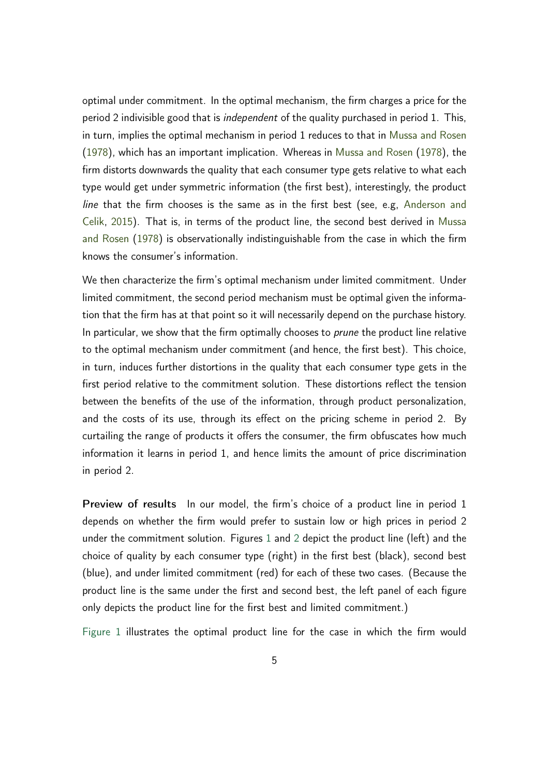optimal under commitment. In the optimal mechanism, the firm charges a price for the period 2 indivisible good that is *independent* of the quality purchased in period 1. This, in turn, implies the optimal mechanism in period 1 reduces to that in [Mussa and Rosen](#page-36-0) [\(1978\)](#page-36-0), which has an important implication. Whereas in [Mussa and Rosen](#page-36-0) [\(1978\)](#page-36-0), the firm distorts downwards the quality that each consumer type gets relative to what each type would get under symmetric information (the first best), interestingly, the product line that the firm chooses is the same as in the first best (see, e.g, [Anderson and](#page-33-1) [Celik,](#page-33-1) [2015\)](#page-33-1). That is, in terms of the product line, the second best derived in [Mussa](#page-36-0) [and Rosen](#page-36-0) [\(1978\)](#page-36-0) is observationally indistinguishable from the case in which the firm knows the consumer's information.

We then characterize the firm's optimal mechanism under limited commitment. Under limited commitment, the second period mechanism must be optimal given the information that the firm has at that point so it will necessarily depend on the purchase history. In particular, we show that the firm optimally chooses to *prune* the product line relative to the optimal mechanism under commitment (and hence, the first best). This choice, in turn, induces further distortions in the quality that each consumer type gets in the first period relative to the commitment solution. These distortions reflect the tension between the benefits of the use of the information, through product personalization, and the costs of its use, through its effect on the pricing scheme in period 2. By curtailing the range of products it offers the consumer, the firm obfuscates how much information it learns in period 1, and hence limits the amount of price discrimination in period 2.

Preview of results In our model, the firm's choice of a product line in period 1 depends on whether the firm would prefer to sustain low or high prices in period 2 under the commitment solution. Figures [1](#page-5-0) and [2](#page-6-0) depict the product line (left) and the choice of quality by each consumer type (right) in the first best (black), second best (blue), and under limited commitment (red) for each of these two cases. (Because the product line is the same under the first and second best, the left panel of each figure only depicts the product line for the first best and limited commitment.)

[Figure 1](#page-5-0) illustrates the optimal product line for the case in which the firm would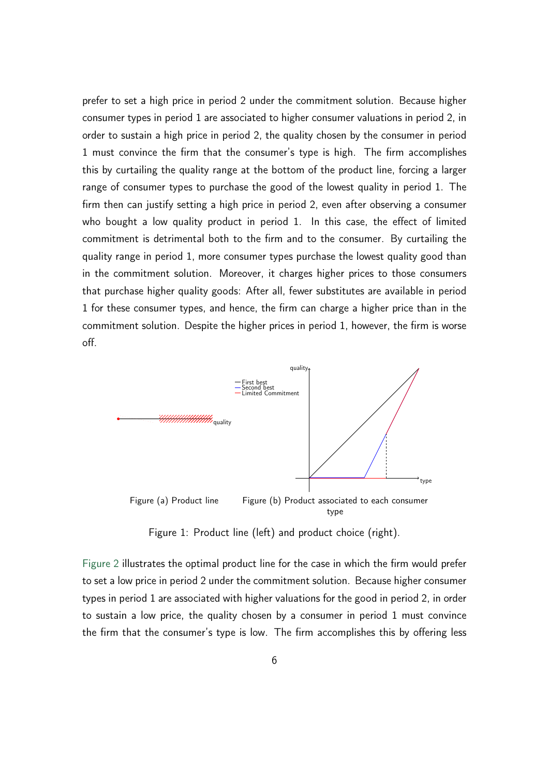prefer to set a high price in period 2 under the commitment solution. Because higher consumer types in period 1 are associated to higher consumer valuations in period 2, in order to sustain a high price in period 2, the quality chosen by the consumer in period 1 must convince the firm that the consumer's type is high. The firm accomplishes this by curtailing the quality range at the bottom of the product line, forcing a larger range of consumer types to purchase the good of the lowest quality in period 1. The firm then can justify setting a high price in period 2, even after observing a consumer who bought a low quality product in period 1. In this case, the effect of limited commitment is detrimental both to the firm and to the consumer. By curtailing the quality range in period 1, more consumer types purchase the lowest quality good than in the commitment solution. Moreover, it charges higher prices to those consumers that purchase higher quality goods: After all, fewer substitutes are available in period 1 for these consumer types, and hence, the firm can charge a higher price than in the commitment solution. Despite the higher prices in period 1, however, the firm is worse off.

<span id="page-5-0"></span>

Figure 1: Product line (left) and product choice (right).

[Figure 2](#page-6-0) illustrates the optimal product line for the case in which the firm would prefer to set a low price in period 2 under the commitment solution. Because higher consumer types in period 1 are associated with higher valuations for the good in period 2, in order to sustain a low price, the quality chosen by a consumer in period 1 must convince the firm that the consumer's type is low. The firm accomplishes this by offering less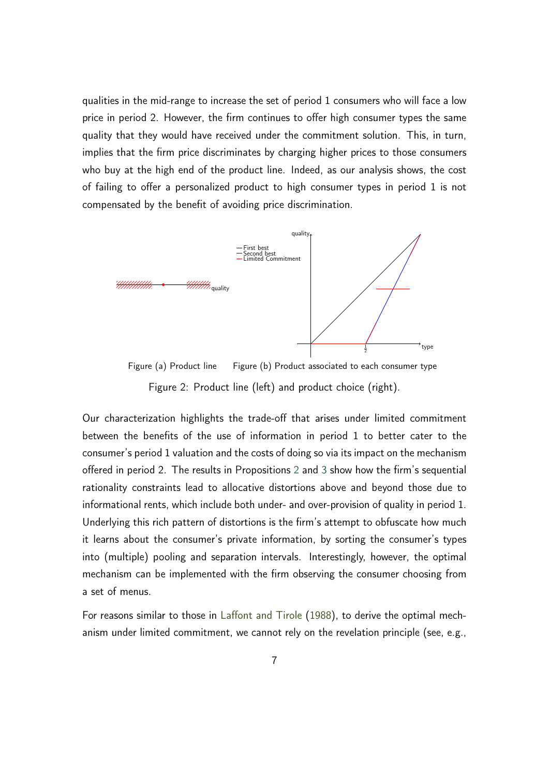qualities in the mid-range to increase the set of period 1 consumers who will face a low price in period 2. However, the firm continues to offer high consumer types the same quality that they would have received under the commitment solution. This, in turn, implies that the firm price discriminates by charging higher prices to those consumers who buy at the high end of the product line. Indeed, as our analysis shows, the cost of failing to offer a personalized product to high consumer types in period 1 is not compensated by the benefit of avoiding price discrimination.

<span id="page-6-0"></span>

Figure (a) Product line Figure (b) Product associated to each consumer type Figure 2: Product line (left) and product choice (right).

Our characterization highlights the trade-off that arises under limited commitment between the benefits of the use of information in period 1 to better cater to the consumer's period 1 valuation and the costs of doing so via its impact on the mechanism offered in period 2. The results in Propositions [2](#page-27-0) and [3](#page-30-0) show how the firm's sequential rationality constraints lead to allocative distortions above and beyond those due to informational rents, which include both under- and over-provision of quality in period 1. Underlying this rich pattern of distortions is the firm's attempt to obfuscate how much it learns about the consumer's private information, by sorting the consumer's types into (multiple) pooling and separation intervals. Interestingly, however, the optimal mechanism can be implemented with the firm observing the consumer choosing from a set of menus.

For reasons similar to those in [Laffont and Tirole](#page-36-1) [\(1988\)](#page-36-1), to derive the optimal mechanism under limited commitment, we cannot rely on the revelation principle (see, e.g.,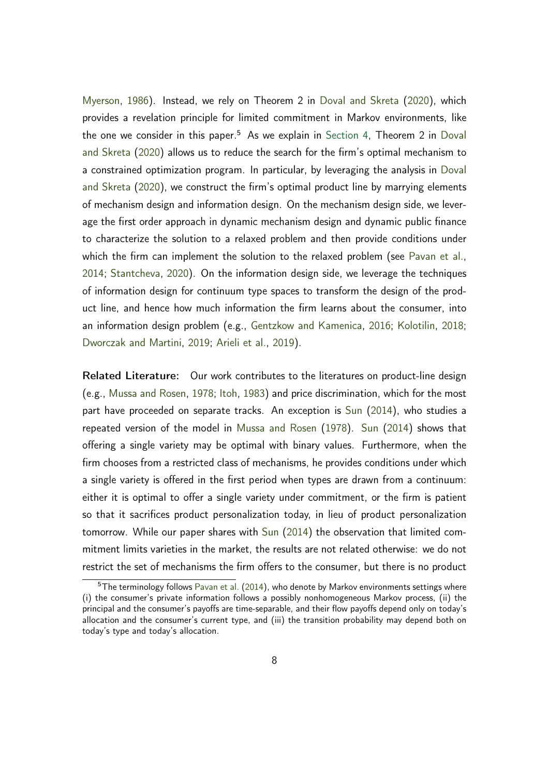[Myerson,](#page-36-2) [1986\)](#page-36-2). Instead, we rely on Theorem 2 in [Doval and Skreta](#page-35-2) [\(2020\)](#page-35-2), which provides a revelation principle for limited commitment in Markov environments, like the one we consider in this paper.<sup>5</sup> As we explain in [Section 4,](#page-16-0) Theorem 2 in [Doval](#page-35-2) [and Skreta](#page-35-2) [\(2020\)](#page-35-2) allows us to reduce the search for the firm's optimal mechanism to a constrained optimization program. In particular, by leveraging the analysis in [Doval](#page-35-2) [and Skreta](#page-35-2) [\(2020\)](#page-35-2), we construct the firm's optimal product line by marrying elements of mechanism design and information design. On the mechanism design side, we leverage the first order approach in dynamic mechanism design and dynamic public finance to characterize the solution to a relaxed problem and then provide conditions under which the firm can implement the solution to the relaxed problem (see [Pavan et al.,](#page-37-5) [2014;](#page-37-5) [Stantcheva,](#page-37-6) [2020\)](#page-37-6). On the information design side, we leverage the techniques of information design for continuum type spaces to transform the design of the product line, and hence how much information the firm learns about the consumer, into an information design problem (e.g., [Gentzkow and Kamenica,](#page-35-3) [2016;](#page-35-3) [Kolotilin,](#page-36-3) [2018;](#page-36-3) [Dworczak and Martini,](#page-35-4) [2019;](#page-35-4) [Arieli et al.,](#page-33-2) [2019\)](#page-33-2).

Related Literature: Our work contributes to the literatures on product-line design (e.g., [Mussa and Rosen,](#page-36-0) [1978;](#page-36-0) [Itoh,](#page-36-4) [1983\)](#page-36-4) and price discrimination, which for the most part have proceeded on separate tracks. An exception is [Sun](#page-37-7) [\(2014\)](#page-37-7), who studies a repeated version of the model in [Mussa and Rosen](#page-36-0) [\(1978\)](#page-36-0). [Sun](#page-37-7) [\(2014\)](#page-37-7) shows that offering a single variety may be optimal with binary values. Furthermore, when the firm chooses from a restricted class of mechanisms, he provides conditions under which a single variety is offered in the first period when types are drawn from a continuum: either it is optimal to offer a single variety under commitment, or the firm is patient so that it sacrifices product personalization today, in lieu of product personalization tomorrow. While our paper shares with [Sun](#page-37-7) [\(2014\)](#page-37-7) the observation that limited commitment limits varieties in the market, the results are not related otherwise: we do not restrict the set of mechanisms the firm offers to the consumer, but there is no product

 $5$ The terminology follows [Pavan et al.](#page-37-5) [\(2014\)](#page-37-5), who denote by Markov environments settings where (i) the consumer's private information follows a possibly nonhomogeneous Markov process, (ii) the principal and the consumer's payoffs are time-separable, and their flow payoffs depend only on today's allocation and the consumer's current type, and (iii) the transition probability may depend both on today's type and today's allocation.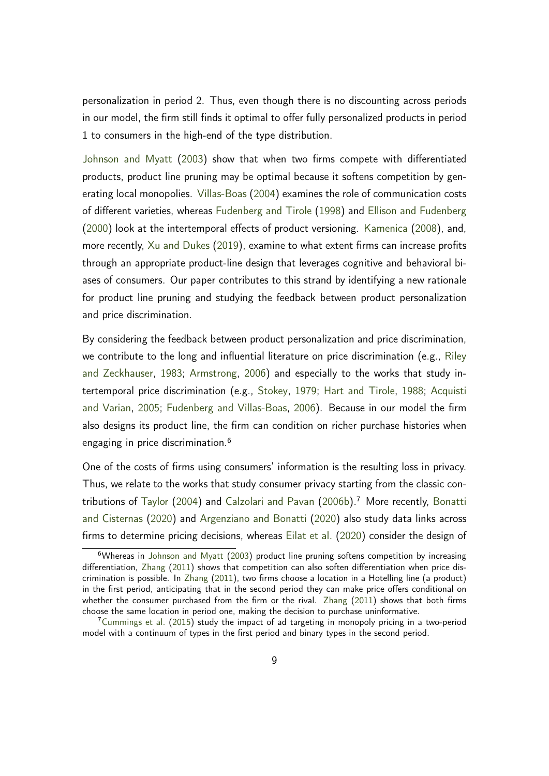personalization in period 2. Thus, even though there is no discounting across periods in our model, the firm still finds it optimal to offer fully personalized products in period 1 to consumers in the high-end of the type distribution.

[Johnson and Myatt](#page-36-5) [\(2003\)](#page-36-5) show that when two firms compete with differentiated products, product line pruning may be optimal because it softens competition by generating local monopolies. [Villas-Boas](#page-37-8) [\(2004\)](#page-37-8) examines the role of communication costs of different varieties, whereas [Fudenberg and Tirole](#page-35-5) [\(1998\)](#page-35-5) and [Ellison and Fudenberg](#page-35-6) [\(2000\)](#page-35-6) look at the intertemporal effects of product versioning. [Kamenica](#page-36-6) [\(2008\)](#page-36-6), and, more recently, [Xu and Dukes](#page-37-9) [\(2019\)](#page-37-9), examine to what extent firms can increase profits through an appropriate product-line design that leverages cognitive and behavioral biases of consumers. Our paper contributes to this strand by identifying a new rationale for product line pruning and studying the feedback between product personalization and price discrimination.

By considering the feedback between product personalization and price discrimination, we contribute to the long and influential literature on price discrimination (e.g., [Riley](#page-37-3) [and Zeckhauser,](#page-37-3) [1983;](#page-37-3) [Armstrong,](#page-34-1) [2006\)](#page-34-1) and especially to the works that study intertemporal price discrimination (e.g., [Stokey,](#page-37-2) [1979;](#page-37-2) [Hart and Tirole,](#page-35-1) [1988;](#page-35-1) [Acquisti](#page-33-0) [and Varian,](#page-33-0) [2005;](#page-33-0) [Fudenberg and Villas-Boas,](#page-35-7) [2006\)](#page-35-7). Because in our model the firm also designs its product line, the firm can condition on richer purchase histories when engaging in price discrimination.<sup>6</sup>

One of the costs of firms using consumers' information is the resulting loss in privacy. Thus, we relate to the works that study consumer privacy starting from the classic contributions of [Taylor](#page-37-10) [\(2004\)](#page-37-10) and [Calzolari and Pavan](#page-34-4) [\(2006b\)](#page-34-4).<sup>7</sup> More recently, [Bonatti](#page-34-5) [and Cisternas](#page-34-5) [\(2020\)](#page-34-5) and [Argenziano and Bonatti](#page-33-3) [\(2020\)](#page-33-3) also study data links across firms to determine pricing decisions, whereas [Eilat et al.](#page-35-8) [\(2020\)](#page-35-8) consider the design of

<sup>&</sup>lt;sup>6</sup>Whereas in [Johnson and Myatt](#page-36-5) [\(2003\)](#page-36-5) product line pruning softens competition by increasing differentiation, [Zhang](#page-38-0) [\(2011\)](#page-38-0) shows that competition can also soften differentiation when price discrimination is possible. In [Zhang](#page-38-0) [\(2011\)](#page-38-0), two firms choose a location in a Hotelling line (a product) in the first period, anticipating that in the second period they can make price offers conditional on whether the consumer purchased from the firm or the rival. [Zhang](#page-38-0) [\(2011\)](#page-38-0) shows that both firms choose the same location in period one, making the decision to purchase uninformative.

<sup>&</sup>lt;sup>7</sup>[Cummings et al.](#page-34-6) [\(2015\)](#page-34-6) study the impact of ad targeting in monopoly pricing in a two-period model with a continuum of types in the first period and binary types in the second period.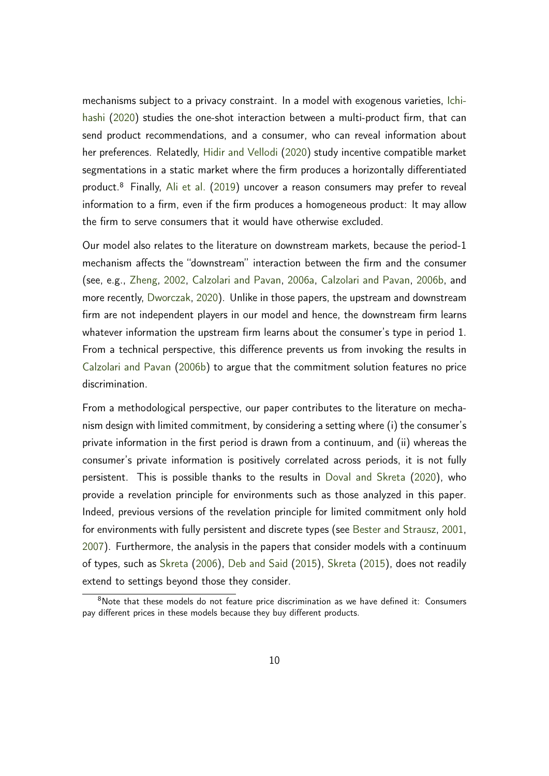mechanisms subject to a privacy constraint. In a model with exogenous varieties, [Ichi](#page-35-9)[hashi](#page-35-9) [\(2020\)](#page-35-9) studies the one-shot interaction between a multi-product firm, that can send product recommendations, and a consumer, who can reveal information about her preferences. Relatedly, [Hidir and Vellodi](#page-35-10) [\(2020\)](#page-35-10) study incentive compatible market segmentations in a static market where the firm produces a horizontally differentiated product.<sup>8</sup> Finally, [Ali et al.](#page-33-4) [\(2019\)](#page-33-4) uncover a reason consumers may prefer to reveal information to a firm, even if the firm produces a homogeneous product: It may allow the firm to serve consumers that it would have otherwise excluded.

Our model also relates to the literature on downstream markets, because the period-1 mechanism affects the "downstream" interaction between the firm and the consumer (see, e.g., [Zheng,](#page-38-1) [2002,](#page-38-1) [Calzolari and Pavan,](#page-34-7) [2006a,](#page-34-7) [Calzolari and Pavan,](#page-34-4) [2006b,](#page-34-4) and more recently, [Dworczak,](#page-35-11) [2020\)](#page-35-11). Unlike in those papers, the upstream and downstream firm are not independent players in our model and hence, the downstream firm learns whatever information the upstream firm learns about the consumer's type in period 1. From a technical perspective, this difference prevents us from invoking the results in [Calzolari and Pavan](#page-34-4) [\(2006b\)](#page-34-4) to argue that the commitment solution features no price discrimination.

From a methodological perspective, our paper contributes to the literature on mechanism design with limited commitment, by considering a setting where (i) the consumer's private information in the first period is drawn from a continuum, and (ii) whereas the consumer's private information is positively correlated across periods, it is not fully persistent. This is possible thanks to the results in [Doval and Skreta](#page-35-2) [\(2020\)](#page-35-2), who provide a revelation principle for environments such as those analyzed in this paper. Indeed, previous versions of the revelation principle for limited commitment only hold for environments with fully persistent and discrete types (see [Bester and Strausz,](#page-34-8) [2001,](#page-34-8) [2007\)](#page-34-9). Furthermore, the analysis in the papers that consider models with a continuum of types, such as [Skreta](#page-37-11) [\(2006\)](#page-37-11), [Deb and Said](#page-34-3) [\(2015\)](#page-34-3), [Skreta](#page-37-12) [\(2015\)](#page-37-12), does not readily extend to settings beyond those they consider.

<sup>&</sup>lt;sup>8</sup>Note that these models do not feature price discrimination as we have defined it: Consumers pay different prices in these models because they buy different products.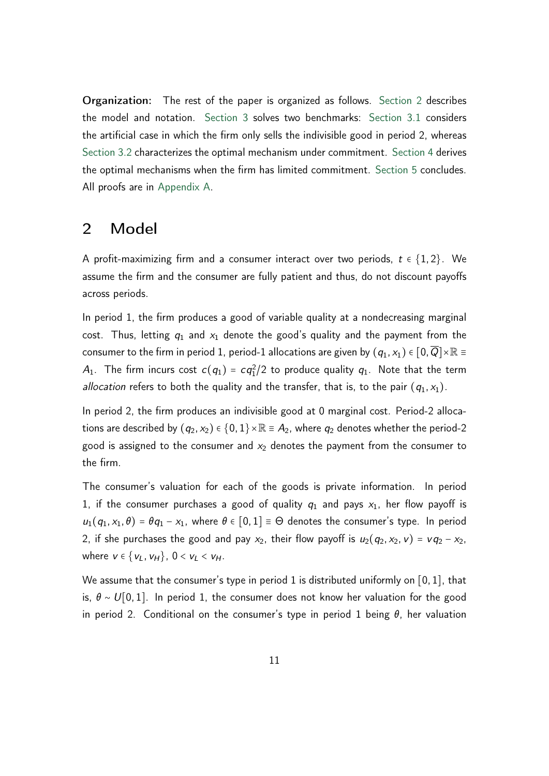Organization: The rest of the paper is organized as follows. [Section 2](#page-10-0) describes the model and notation. [Section 3](#page-11-0) solves two benchmarks: [Section 3.1](#page-11-1) considers the artificial case in which the firm only sells the indivisible good in period 2, whereas [Section 3.2](#page-12-0) characterizes the optimal mechanism under commitment. [Section 4](#page-16-0) derives the optimal mechanisms when the firm has limited commitment. [Section 5](#page-32-0) concludes. All proofs are in [Appendix A.](#page-38-2)

## <span id="page-10-0"></span>2 Model

A profit-maximizing firm and a consumer interact over two periods, *t* ∈ {1*;* 2}. We assume the firm and the consumer are fully patient and thus, do not discount payoffs across periods.

In period 1, the firm produces a good of variable quality at a nondecreasing marginal cost. Thus, letting  $q_1$  and  $x_1$  denote the good's quality and the payment from the consumer to the firm in period 1, period-1 allocations are given by  $(q_1, x_1) \in [0, \overline{Q}] \times \mathbb{R} \equiv$  $A_1$ . The firm incurs cost  $c(q_1) = cq_1^2/2$  to produce quality  $q_1$ . Note that the term allocation refers to both the quality and the transfer, that is, to the pair  $(q_1, x_1)$ .

In period 2, the firm produces an indivisible good at 0 marginal cost. Period-2 allocations are described by  $(q_2, x_2) \in \{0, 1\} \times \mathbb{R} \equiv A_2$ , where  $q_2$  denotes whether the period-2 good is assigned to the consumer and  $x_2$  denotes the payment from the consumer to the firm.

The consumer's valuation for each of the goods is private information. In period 1, if the consumer purchases a good of quality  $q_1$  and pays  $x_1$ , her flow payoff is  $u_1(q_1, x_1, \theta) = \theta q_1 - x_1$ , where  $\theta \in [0, 1] \equiv \Theta$  denotes the consumer's type. In period 2, if she purchases the good and pay  $x_2$ , their flow payoff is  $u_2(q_2, x_2, v) = v q_2 - x_2$ , *where v* ∈ {*v*<sub>*L*</sub>, *v*<sub>*H*</sub>}, 0 < *v*<sub>*L*</sub> < *v*<sub>*H*</sub>.

We assume that the consumer's type in period 1 is distributed uniformly on [0*;* 1], that is,  $\theta$  ∼ *U*[0, 1]. In period 1, the consumer does not know her valuation for the good in period 2. Conditional on the consumer's type in period 1 being  $\theta$ , her valuation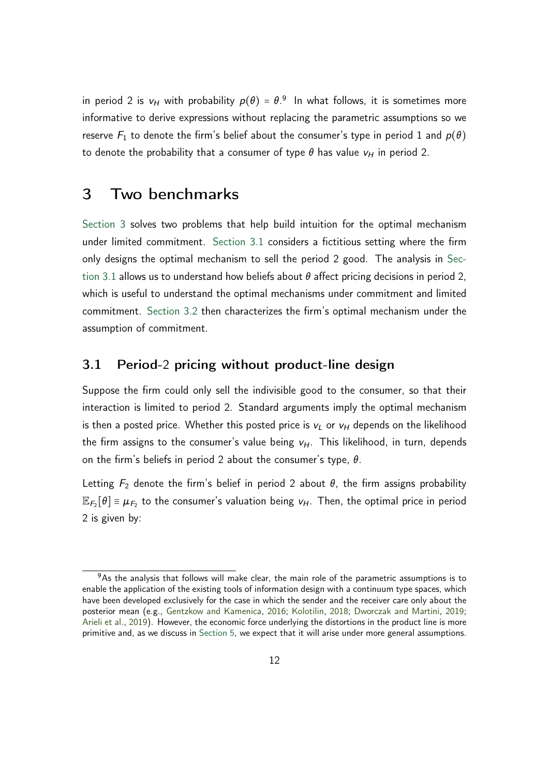in period 2 is  $v_H$  with probability  $p(\theta) = \theta$ .<sup>9</sup> In what follows, it is sometimes more informative to derive expressions without replacing the parametric assumptions so we reserve  $F_1$  to denote the firm's belief about the consumer's type in period 1 and  $p(\theta)$ to denote the probability that a consumer of type  $\theta$  has value  $v_H$  in period 2.

## <span id="page-11-0"></span>3 Two benchmarks

[Section 3](#page-11-0) solves two problems that help build intuition for the optimal mechanism under limited commitment. [Section 3.1](#page-11-1) considers a fictitious setting where the firm only designs the optimal mechanism to sell the period 2 good. The analysis in [Sec](#page-11-1)[tion 3.1](#page-11-1) allows us to understand how beliefs about  $\theta$  affect pricing decisions in period 2, which is useful to understand the optimal mechanisms under commitment and limited commitment. [Section 3.2](#page-12-0) then characterizes the firm's optimal mechanism under the assumption of commitment.

### <span id="page-11-1"></span>3.1 Period-2 pricing without product-line design

Suppose the firm could only sell the indivisible good to the consumer, so that their interaction is limited to period 2. Standard arguments imply the optimal mechanism is then a posted price. Whether this posted price is  $v_L$  or  $v_H$  depends on the likelihood the firm assigns to the consumer's value being  $v_H$ . This likelihood, in turn, depends on the firm's beliefs in period 2 about the consumer's type,  $\theta$ .

Letting  $F_2$  denote the firm's belief in period 2 about  $\theta$ , the firm assigns probability  $\mathbb{E}_{F_2}[\theta] \equiv \mu_{F_2}$  to the consumer's valuation being  $v_H$ . Then, the optimal price in period 2 is given by:

 $9A<sub>9</sub>$  as the analysis that follows will make clear, the main role of the parametric assumptions is to enable the application of the existing tools of information design with a continuum type spaces, which have been developed exclusively for the case in which the sender and the receiver care only about the posterior mean (e.g., [Gentzkow and Kamenica,](#page-35-3) [2016;](#page-35-3) [Kolotilin,](#page-36-3) [2018;](#page-36-3) [Dworczak and Martini,](#page-35-4) [2019;](#page-35-4) [Arieli et al.,](#page-33-2) [2019\)](#page-33-2). However, the economic force underlying the distortions in the product line is more primitive and, as we discuss in [Section 5,](#page-32-0) we expect that it will arise under more general assumptions.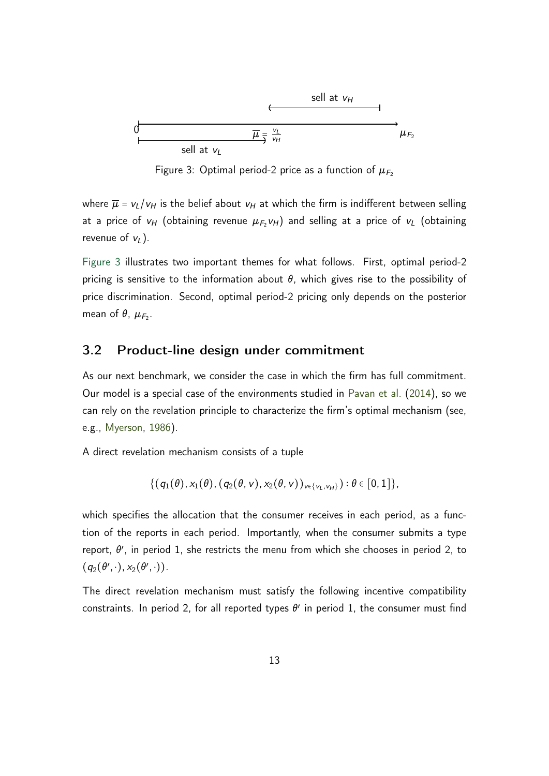<span id="page-12-1"></span>

Figure 3: Optimal period-2 price as a function of  $\mu_{F_2}$ 

where  $\overline{\mu} = v_L/v_H$  is the belief about  $v_H$  at which the firm is indifferent between selling at a price of  $v_H$  (obtaining revenue  $\mu_{F_2}v_H$ ) and selling at a price of  $v_L$  (obtaining revenue of  $v_L$ ).

[Figure 3](#page-12-1) illustrates two important themes for what follows. First, optimal period-2 pricing is sensitive to the information about  $\theta$ , which gives rise to the possibility of price discrimination. Second, optimal period-2 pricing only depends on the posterior mean of  $\theta$ ,  $\mu_{F_2}$ .

### <span id="page-12-0"></span>3.2 Product-line design under commitment

As our next benchmark, we consider the case in which the firm has full commitment. Our model is a special case of the environments studied in [Pavan et al.](#page-37-5) [\(2014\)](#page-37-5), so we can rely on the revelation principle to characterize the firm's optimal mechanism (see, e.g., [Myerson,](#page-36-2) [1986\)](#page-36-2).

A direct revelation mechanism consists of a tuple

$$
\{(q_1(\theta), x_1(\theta), (q_2(\theta, v), x_2(\theta, v))_{v \in \{v_L, v_H\}}): \theta \in [0, 1]\},\
$$

which specifies the allocation that the consumer receives in each period, as a function of the reports in each period. Importantly, when the consumer submits a type report,  $\theta'$ , in period 1, she restricts the menu from which she chooses in period 2, to  $(q_2(\theta',\cdot),x_2(\theta',\cdot)).$ 

The direct revelation mechanism must satisfy the following incentive compatibility constraints. In period 2, for all reported types  $\theta'$  in period 1, the consumer must find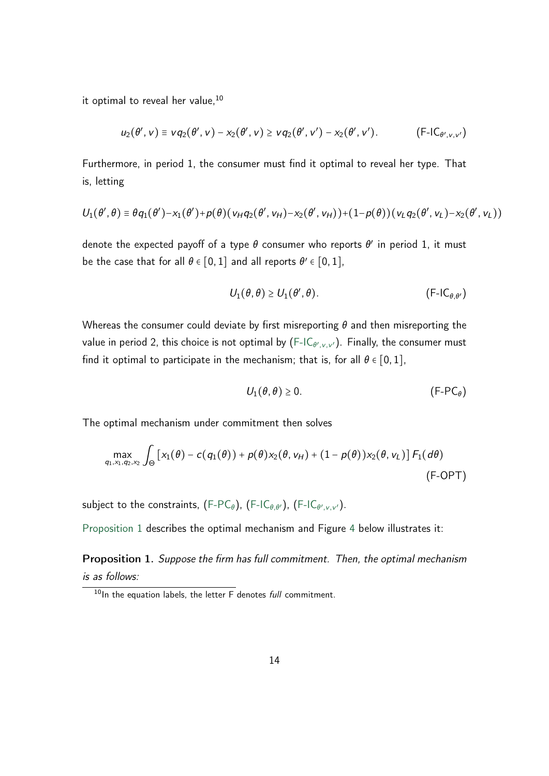it optimal to reveal her value,<sup>10</sup>

$$
u_2(\theta',v) \equiv v q_2(\theta',v) - x_2(\theta',v) \ge v q_2(\theta',v') - x_2(\theta',v').
$$
 (F-IC <sub>$\theta',v,v'$</sub> )

Furthermore, in period 1, the consumer must find it optimal to reveal her type. That is, letting

$$
U_1(\theta',\theta) \equiv \theta q_1(\theta') - x_1(\theta') + p(\theta) (v_H q_2(\theta',v_H) - x_2(\theta',v_H)) + (1-p(\theta)) (v_L q_2(\theta',v_L) - x_2(\theta',v_L))
$$

denote the expected payoff of a type  $\theta$  consumer who reports  $\theta'$  in period 1, it must be the case that for all  $\theta \in [0,1]$  and all reports  $\theta' \in [0,1]$ ,

<span id="page-13-2"></span><span id="page-13-0"></span>
$$
U_1(\theta,\theta) \ge U_1(\theta',\theta). \tag{F-IC_{\theta,\theta'}}
$$

Whereas the consumer could deviate by first misreporting  $\theta$  and then misreporting the value in period 2, this choice is not optimal by [\(F-IC](#page-13-0) $_{\theta',\mathrm{v},\mathrm{v'}}$ ). Finally, the consumer must find it optimal to participate in the mechanism; that is, for all  $\theta \in [0, 1]$ ,

<span id="page-13-1"></span>
$$
U_1(\theta, \theta) \ge 0. \tag{F-PC\theta}
$$

The optimal mechanism under commitment then solves

$$
\max_{q_1, x_1, q_2, x_2} \int_{\Theta} \left[ x_1(\theta) - c(q_1(\theta)) + p(\theta) x_2(\theta, v_H) + (1 - p(\theta)) x_2(\theta, v_L) \right] F_1(d\theta)
$$
\n(F-OPT)

subject to the constraints, [\(F-PC](#page-13-1) $_\theta$ ), [\(F-IC](#page-13-0) $_{\theta,\theta'}$ ), (F-IC $_{\theta',\nu,\nu'}$ ).

[Proposition 1](#page-13-3) describes the optimal mechanism and Figure [4](#page-14-0) below illustrates it:

<span id="page-13-3"></span>Proposition 1. Suppose the firm has full commitment. Then, the optimal mechanism is as follows:

 $10$ In the equation labels, the letter  $\overline{F}$  denotes *full* commitment.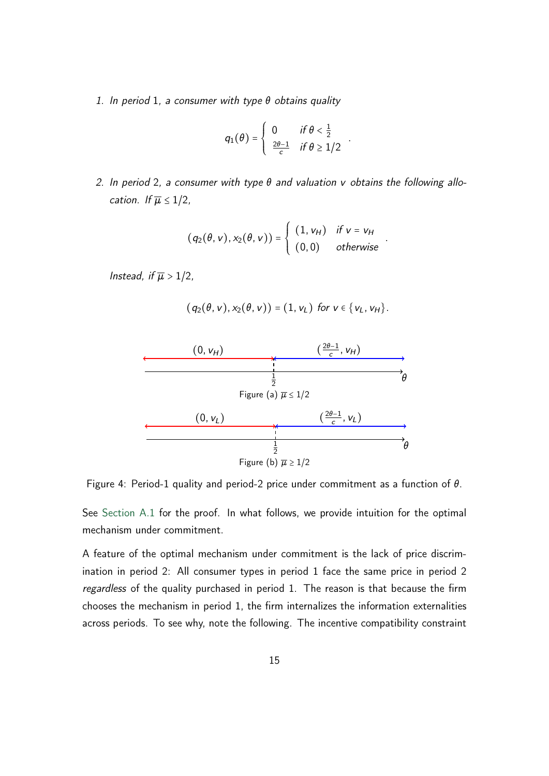1. In period 1, a consumer with type  $\theta$  obtains quality

$$
q_1(\theta) = \begin{cases} 0 & \text{if } \theta < \frac{1}{2} \\ \frac{2\theta - 1}{c} & \text{if } \theta \geq 1/2 \end{cases}.
$$

2. In period 2, a consumer with type  $\theta$  and valuation *v* obtains the following allocation. If  $\overline{\mu} \leq 1/2$ ,

$$
(q_2(\theta, v), x_2(\theta, v)) = \begin{cases} (1, v_H) & \text{if } v = v_H \\ (0, 0) & \text{otherwise} \end{cases}
$$

*:*

Instead, if  $\overline{\mu} > 1/2$ ,

$$
(q_2(\theta, v), x_2(\theta, v)) = (1, v_L)
$$
 for  $v \in \{v_L, v_H\}$ .

<span id="page-14-0"></span>

Figure 4: Period-1 quality and period-2 price under commitment as a function of  $\theta$ .

See [Section A.1](#page-38-3) for the proof. In what follows, we provide intuition for the optimal mechanism under commitment.

A feature of the optimal mechanism under commitment is the lack of price discrimination in period 2: All consumer types in period 1 face the same price in period 2 regardless of the quality purchased in period 1. The reason is that because the firm chooses the mechanism in period 1, the firm internalizes the information externalities across periods. To see why, note the following. The incentive compatibility constraint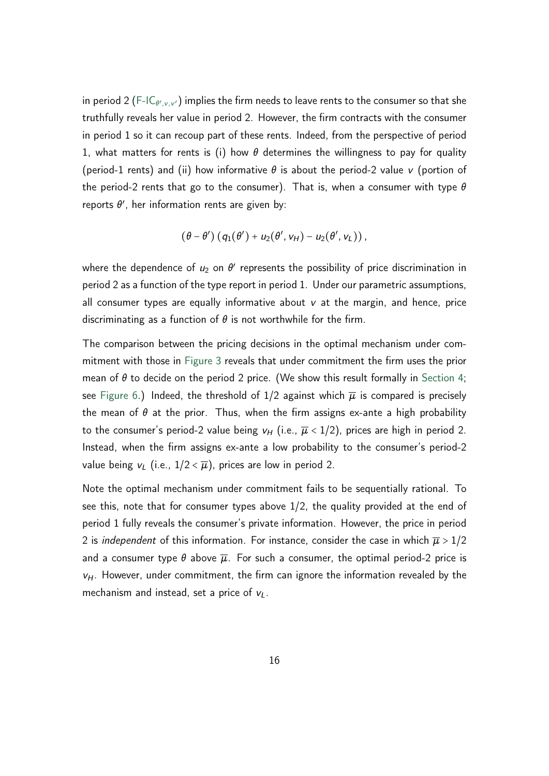in period 2 [\(F-IC](#page-13-0) $_{\theta',\nu,\nu'}$ ) implies the firm needs to leave rents to the consumer so that she truthfully reveals her value in period 2. However, the firm contracts with the consumer in period 1 so it can recoup part of these rents. Indeed, from the perspective of period 1, what matters for rents is (i) how  $\theta$  determines the willingness to pay for quality (period-1 rents) and (ii) how informative  $\theta$  is about the period-2 value *v* (portion of the period-2 rents that go to the consumer). That is, when a consumer with type  $\theta$ reports  $\theta'$ , her information rents are given by:

$$
(\theta - \theta') (q_1(\theta') + u_2(\theta', v_H) - u_2(\theta', v_L)),
$$

where the dependence of  $u_2$  on  $\theta'$  represents the possibility of price discrimination in period 2 as a function of the type report in period 1. Under our parametric assumptions, all consumer types are equally informative about *v* at the margin, and hence, price discriminating as a function of  $\theta$  is not worthwhile for the firm.

The comparison between the pricing decisions in the optimal mechanism under commitment with those in [Figure 3](#page-12-1) reveals that under commitment the firm uses the prior mean of  $\theta$  to decide on the period 2 price. (We show this result formally in [Section 4;](#page-16-0) see [Figure 6.](#page-23-0)) Indeed, the threshold of  $1/2$  against which  $\overline{\mu}$  is compared is precisely the mean of  $\theta$  at the prior. Thus, when the firm assigns ex-ante a high probability to the consumer's period-2 value being  $v_H$  (i.e.,  $\overline{\mu}$  < 1/2), prices are high in period 2. Instead, when the firm assigns ex-ante a low probability to the consumer's period-2 value being  $v_L$  (i.e.,  $1/2 \leq \overline{\mu}$ ), prices are low in period 2.

Note the optimal mechanism under commitment fails to be sequentially rational. To see this, note that for consumer types above 1/2, the quality provided at the end of period 1 fully reveals the consumer's private information. However, the price in period 2 is *independent* of this information. For instance, consider the case in which  $\overline{\mu} > 1/2$ and a consumer type  $\theta$  above  $\overline{\mu}$ . For such a consumer, the optimal period-2 price is *vH*. However, under commitment, the firm can ignore the information revealed by the mechanism and instead, set a price of *vL*.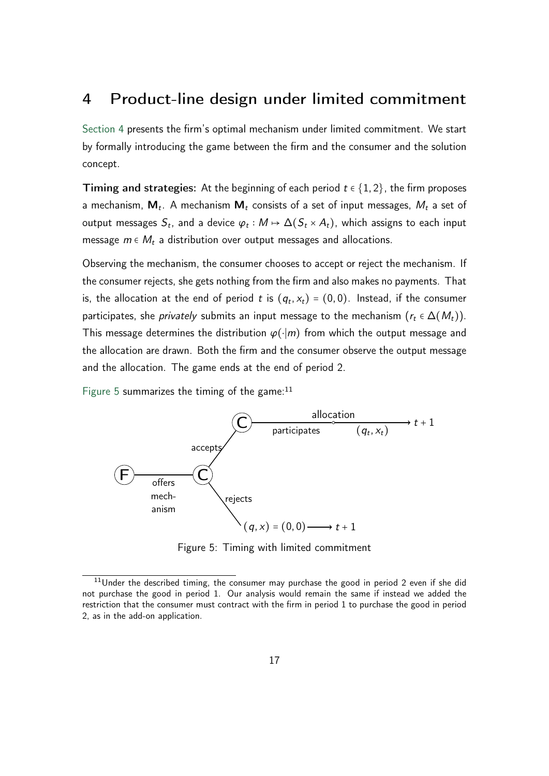# <span id="page-16-0"></span>4 Product-line design under limited commitment

[Section 4](#page-16-0) presents the firm's optimal mechanism under limited commitment. We start by formally introducing the game between the firm and the consumer and the solution concept.

**Timing and strategies:** At the beginning of each period  $t \in \{1, 2\}$ , the firm proposes a mechanism, **M***<sup>t</sup>* . A mechanism **M***<sup>t</sup>* consists of a set of input messages, *M<sup>t</sup>* a set of output messages  $S_t$ , and a device  $\varphi_t: M \mapsto \Delta(S_t \times A_t)$ , which assigns to each input message *m* ∈ *M<sup>t</sup>* a distribution over output messages and allocations.

Observing the mechanism, the consumer chooses to accept or reject the mechanism. If the consumer rejects, she gets nothing from the firm and also makes no payments. That is, the allocation at the end of period  $t$  is  $(q_t, x_t) = (0, 0)$ . Instead, if the consumer participates, she *privately* submits an input message to the mechanism  $(r_t \in \Delta(M_t))$ . This message determines the distribution  $\varphi(\cdot|m)$  from which the output message and the allocation are drawn. Both the firm and the consumer observe the output message and the allocation. The game ends at the end of period 2.

<span id="page-16-1"></span>[Figure 5](#page-16-1) summarizes the timing of the game: $11$ 



Figure 5: Timing with limited commitment

 $11$ Under the described timing, the consumer may purchase the good in period 2 even if she did not purchase the good in period 1. Our analysis would remain the same if instead we added the restriction that the consumer must contract with the firm in period 1 to purchase the good in period 2, as in the add-on application.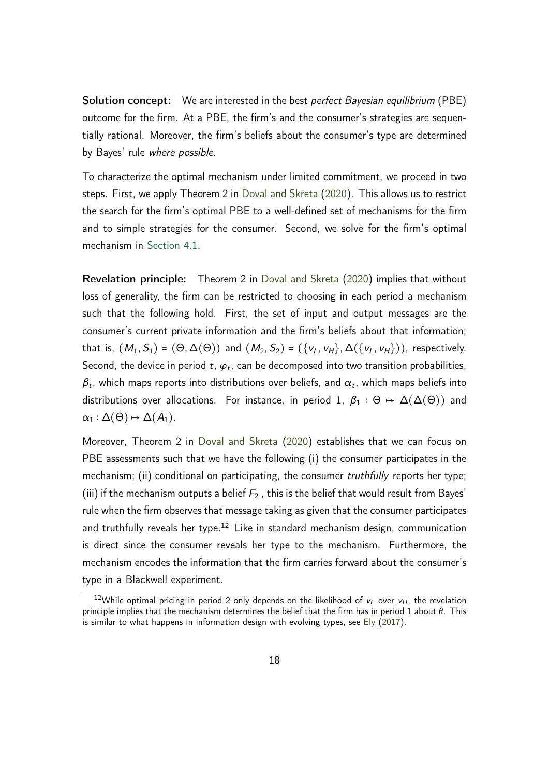**Solution concept:** We are interested in the best *perfect Bayesian equilibrium* (PBE) outcome for the firm. At a PBE, the firm's and the consumer's strategies are sequentially rational. Moreover, the firm's beliefs about the consumer's type are determined by Bayes' rule where possible.

To characterize the optimal mechanism under limited commitment, we proceed in two steps. First, we apply Theorem 2 in [Doval and Skreta](#page-35-2) [\(2020\)](#page-35-2). This allows us to restrict the search for the firm's optimal PBE to a well-defined set of mechanisms for the firm and to simple strategies for the consumer. Second, we solve for the firm's optimal mechanism in [Section 4.1.](#page-18-0)

Revelation principle: Theorem 2 in [Doval and Skreta](#page-35-2) [\(2020\)](#page-35-2) implies that without loss of generality, the firm can be restricted to choosing in each period a mechanism such that the following hold. First, the set of input and output messages are the consumer's current private information and the firm's beliefs about that information; that is,  $(M_1, S_1) = (\Theta, \Delta(\Theta))$  and  $(M_2, S_2) = (\{v_L, v_H\}, \Delta(\{v_L, v_H\}))$ , respectively. Second, the device in period  $t$ ,  $\varphi_t$ , can be decomposed into two transition probabilities,  $\beta_t$ , which maps reports into distributions over beliefs, and  $\alpha_t$ , which maps beliefs into distributions over allocations. For instance, in period 1,  $\beta_1 : \Theta \mapsto \Delta(\Delta(\Theta))$  and  $\alpha_1 : \Delta(\Theta) \mapsto \Delta(A_1).$ 

Moreover, Theorem 2 in [Doval and Skreta](#page-35-2) [\(2020\)](#page-35-2) establishes that we can focus on PBE assessments such that we have the following (i) the consumer participates in the mechanism; (ii) conditional on participating, the consumer truthfully reports her type; (iii) if the mechanism outputs a belief  $F_2$ , this is the belief that would result from Bayes' rule when the firm observes that message taking as given that the consumer participates and truthfully reveals her type.<sup>12</sup> Like in standard mechanism design, communication is direct since the consumer reveals her type to the mechanism. Furthermore, the mechanism encodes the information that the firm carries forward about the consumer's type in a Blackwell experiment.

<sup>&</sup>lt;sup>12</sup>While optimal pricing in period 2 only depends on the likelihood of  $v_L$  over  $v_H$ , the revelation principle implies that the mechanism determines the belief that the firm has in period 1 about  $\theta$ . This is similar to what happens in information design with evolving types, see [Ely](#page-35-12) [\(2017\)](#page-35-12).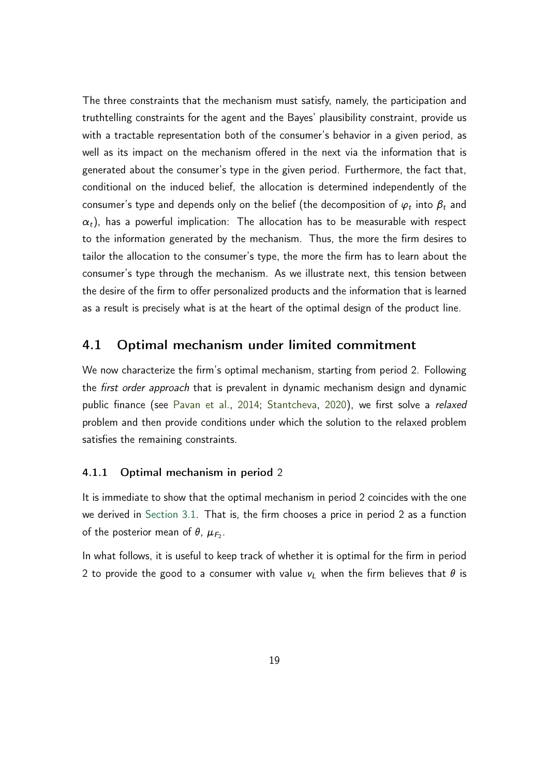The three constraints that the mechanism must satisfy, namely, the participation and truthtelling constraints for the agent and the Bayes' plausibility constraint, provide us with a tractable representation both of the consumer's behavior in a given period, as well as its impact on the mechanism offered in the next via the information that is generated about the consumer's type in the given period. Furthermore, the fact that, conditional on the induced belief, the allocation is determined independently of the consumer's type and depends only on the belief (the decomposition of  $\varphi_t$  into  $\beta_t$  and  $\alpha_t$ ), has a powerful implication: The allocation has to be measurable with respect to the information generated by the mechanism. Thus, the more the firm desires to tailor the allocation to the consumer's type, the more the firm has to learn about the consumer's type through the mechanism. As we illustrate next, this tension between the desire of the firm to offer personalized products and the information that is learned as a result is precisely what is at the heart of the optimal design of the product line.

### <span id="page-18-0"></span>4.1 Optimal mechanism under limited commitment

We now characterize the firm's optimal mechanism, starting from period 2. Following the *first order approach* that is prevalent in dynamic mechanism design and dynamic public finance (see [Pavan et al.,](#page-37-5) [2014;](#page-37-5) [Stantcheva,](#page-37-6) [2020\)](#page-37-6), we first solve a relaxed problem and then provide conditions under which the solution to the relaxed problem satisfies the remaining constraints.

#### 4.1.1 Optimal mechanism in period 2

It is immediate to show that the optimal mechanism in period 2 coincides with the one we derived in [Section 3.1.](#page-11-1) That is, the firm chooses a price in period 2 as a function of the posterior mean of  $\theta$ ,  $\mu_{F_2}$ .

In what follows, it is useful to keep track of whether it is optimal for the firm in period 2 to provide the good to a consumer with value  $v_l$  when the firm believes that  $\theta$  is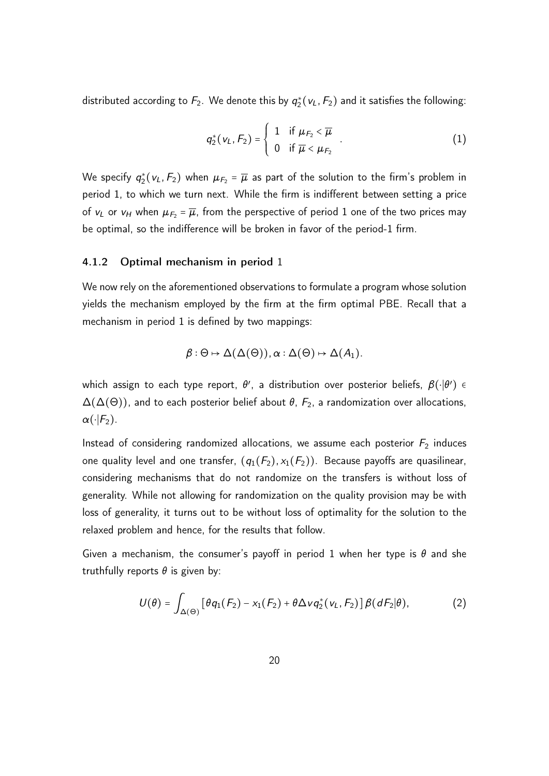distributed according to  $F_2$ . We denote this by  $q_2^*(v_L, F_2)$  and it satisfies the following:

<span id="page-19-0"></span>
$$
q_2^*(v_L, F_2) = \begin{cases} 1 & \text{if } \mu_{F_2} < \overline{\mu} \\ 0 & \text{if } \overline{\mu} < \mu_{F_2} \end{cases} .
$$
 (1)

We specify  $q_2^*(v_L, F_2)$  when  $\mu_{F_2}$  =  $\overline{\mu}$  as part of the solution to the firm's problem in period 1, to which we turn next. While the firm is indifferent between setting a price of  $v_L$  or  $v_H$  when  $\mu_{F_2} = \overline{\mu}$ , from the perspective of period 1 one of the two prices may be optimal, so the indifference will be broken in favor of the period-1 firm.

#### 4.1.2 Optimal mechanism in period 1

We now rely on the aforementioned observations to formulate a program whose solution yields the mechanism employed by the firm at the firm optimal PBE. Recall that a mechanism in period 1 is defined by two mappings:

$$
\beta: \Theta \mapsto \Delta(\Delta(\Theta)), \alpha: \Delta(\Theta) \mapsto \Delta(A_1).
$$

which assign to each type report,  $\theta'$ , a distribution over posterior beliefs,  $\beta(\cdot|\theta')$  ∈  $\Delta(\Delta(\Theta))$ , and to each posterior belief about  $\theta$ ,  $F_2$ , a randomization over allocations,  $\alpha(\cdot|F_2)$ .

Instead of considering randomized allocations, we assume each posterior  $F_2$  induces one quality level and one transfer,  $(q_1(F_2), x_1(F_2))$ . Because payoffs are quasilinear, considering mechanisms that do not randomize on the transfers is without loss of generality. While not allowing for randomization on the quality provision may be with loss of generality, it turns out to be without loss of optimality for the solution to the relaxed problem and hence, for the results that follow.

Given a mechanism, the consumer's payoff in period 1 when her type is  $\theta$  and she truthfully reports  $\theta$  is given by:

<span id="page-19-1"></span>
$$
U(\theta) = \int_{\Delta(\Theta)} \left[ \theta q_1(F_2) - x_1(F_2) + \theta \Delta \nu q_2^*(v_L, F_2) \right] \beta(dF_2|\theta), \tag{2}
$$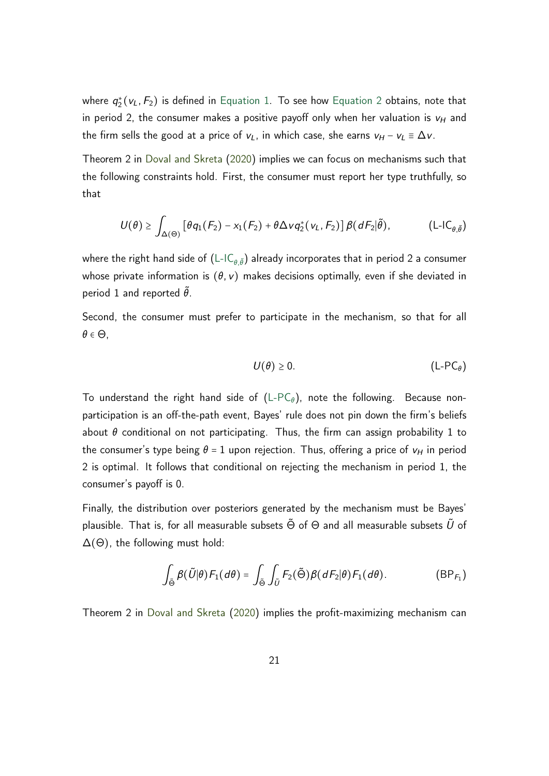where  $q_2^*(v_L, F_2)$  is defined in [Equation 1.](#page-19-0) To see how [Equation 2](#page-19-1) obtains, note that in period 2, the consumer makes a positive payoff only when her valuation is  $v_H$  and the firm sells the good at a price of  $v_L$ , in which case, she earns  $v_H - v_L \equiv \Delta v$ .

Theorem 2 in [Doval and Skreta](#page-35-2) [\(2020\)](#page-35-2) implies we can focus on mechanisms such that the following constraints hold. First, the consumer must report her type truthfully, so that

$$
U(\theta) \geq \int_{\Delta(\Theta)} \left[ \theta q_1(F_2) - x_1(F_2) + \theta \Delta \nu q_2^*(v_L, F_2) \right] \beta(dF_2 | \tilde{\theta}), \qquad (L\text{-}IC_{\theta, \tilde{\theta}})
$$

where the right hand side of  $(L\text{-}IC_{\theta,\tilde{\theta}})$  already incorporates that in period 2 a consumer whose private information is  $(\theta, v)$  makes decisions optimally, even if she deviated in period 1 and reported  $\tilde{\theta}$ .

Second, the consumer must prefer to participate in the mechanism, so that for all  $\theta \in \Theta$ ,

<span id="page-20-2"></span><span id="page-20-1"></span><span id="page-20-0"></span>
$$
U(\theta) \ge 0. \tag{L-PC\theta}
$$

To understand the right hand side of  $(L-PC_{\theta})$  $(L-PC_{\theta})$ , note the following. Because nonparticipation is an off-the-path event, Bayes' rule does not pin down the firm's beliefs about  $\theta$  conditional on not participating. Thus, the firm can assign probability 1 to the consumer's type being  $\theta = 1$  upon rejection. Thus, offering a price of  $v_H$  in period 2 is optimal. It follows that conditional on rejecting the mechanism in period 1, the consumer's payoff is 0.

Finally, the distribution over posteriors generated by the mechanism must be Bayes' plausible. That is, for all measurable subsets  $\tilde{\Theta}$  of  $\Theta$  and all measurable subsets  $\tilde{U}$  of  $\Delta(\Theta)$ , the following must hold:

$$
\int_{\tilde{\Theta}} \beta(\tilde{U}|\theta) F_1(d\theta) = \int_{\tilde{\Theta}} \int_{\tilde{U}} F_2(\tilde{\Theta}) \beta(dF_2|\theta) F_1(d\theta).
$$
 (BP<sub>F<sub>1</sub></sub>)

Theorem 2 in [Doval and Skreta](#page-35-2) [\(2020\)](#page-35-2) implies the profit-maximizing mechanism can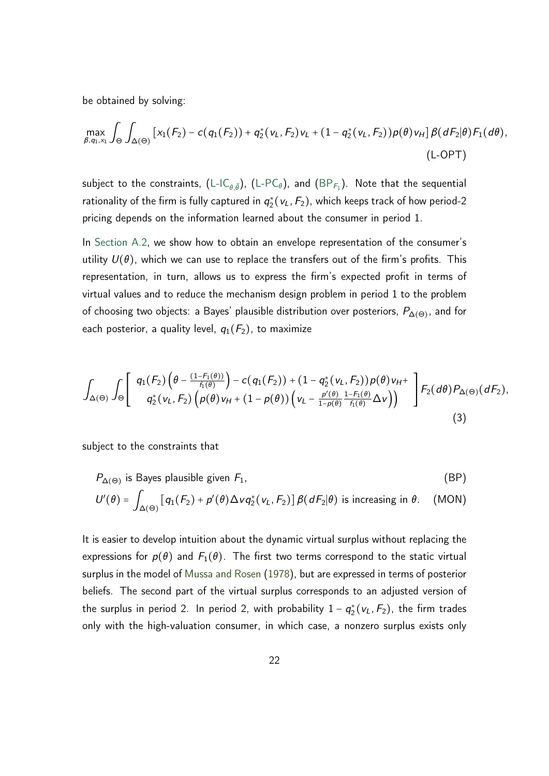be obtained by solving:

$$
\max_{\beta,q_1,x_1} \int_{\Theta} \int_{\Delta(\Theta)} \left[ x_1(F_2) - c(q_1(F_2)) + q_2^*(v_L, F_2) v_L + (1 - q_2^*(v_L, F_2)) \rho(\theta) v_H \right] \beta(dF_2|\theta) F_1(d\theta),
$$
\n(L-OPT)

subject to the constraints, [\(L-IC](#page-20-0)<sub>0, ${\tilde \theta})$ , [\(L-PC](#page-20-1) $_{\theta})$ , and [\(BP](#page-20-2) $_{\mathcal{F}_1}$ ). Note that the sequential</sub> rationality of the firm is fully captured in  $q_2^*(v_L, F_2)$ , which keeps track of how period-2 pricing depends on the information learned about the consumer in period 1.

In [Section A.2,](#page-40-0) we show how to obtain an envelope representation of the consumer's utility  $U(\theta)$ , which we can use to replace the transfers out of the firm's profits. This representation, in turn, allows us to express the firm's expected profit in terms of virtual values and to reduce the mechanism design problem in period 1 to the problem of choosing two objects: a Bayes' plausible distribution over posteriors, *P*<sup>∆</sup>(Θ) , and for each posterior, a quality level,  $q_1(F_2)$ , to maximize

$$
\int_{\Delta(\Theta)} \int_{\Theta} \left[ \begin{array}{c} q_1(F_2) \left( \theta - \frac{(1 - F_1(\theta))}{f_1(\theta)} \right) - c(q_1(F_2)) + (1 - q_2^*(v_L, F_2)) \rho(\theta) v_H + \\ q_2^*(v_L, F_2) \left( \rho(\theta) v_H + (1 - \rho(\theta)) \left( v_L - \frac{\rho'(\theta)}{1 - \rho(\theta)} \frac{1 - F_1(\theta)}{f_1(\theta)} \Delta v \right) \right) \end{array} \right] F_2(d\theta) P_{\Delta(\Theta)}(dF_2),
$$
\n(3)

subject to the constraints that

<span id="page-21-1"></span><span id="page-21-0"></span>
$$
P_{\Delta(\Theta)}
$$
 is Bayes plausible given  $F_1$ , (BP)  

$$
U'(\theta) = \int_{\Delta(\Theta)} [q_1(F_2) + p'(\theta) \Delta \nu q_2^*(\nu_L, F_2)] \beta(dF_2|\theta)
$$
 is increasing in  $\theta$ . (MON)

It is easier to develop intuition about the dynamic virtual surplus without replacing the expressions for  $p(\theta)$  and  $F_1(\theta)$ . The first two terms correspond to the static virtual surplus in the model of [Mussa and Rosen](#page-36-0) [\(1978\)](#page-36-0), but are expressed in terms of posterior beliefs. The second part of the virtual surplus corresponds to an adjusted version of the surplus in period 2. In period 2, with probability  $1 - q_2^*(v_L, F_2)$ , the firm trades only with the high-valuation consumer, in which case, a nonzero surplus exists only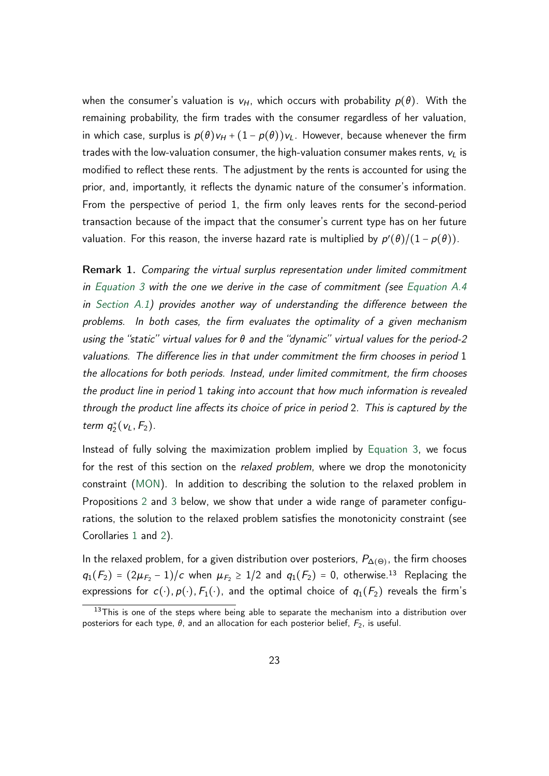when the consumer's valuation is  $v_H$ , which occurs with probability  $p(\theta)$ . With the remaining probability, the firm trades with the consumer regardless of her valuation, in which case, surplus is  $p(\theta)v_H + (1 - p(\theta))v_L$ . However, because whenever the firm trades with the low-valuation consumer, the high-valuation consumer makes rents, *v<sup>L</sup>* is modified to reflect these rents. The adjustment by the rents is accounted for using the prior, and, importantly, it reflects the dynamic nature of the consumer's information. From the perspective of period 1, the firm only leaves rents for the second-period transaction because of the impact that the consumer's current type has on her future valuation. For this reason, the inverse hazard rate is multiplied by  $p'(\theta)/(1-p(\theta)).$ 

Remark 1. Comparing the virtual surplus representation under limited commitment in [Equation 3](#page-21-0) with the one we derive in the case of commitment (see [Equation A.4](#page-39-0) in [Section A.1\)](#page-38-3) provides another way of understanding the difference between the problems. In both cases, the firm evaluates the optimality of a given mechanism using the "static" virtual values for  $\theta$  and the "dynamic" virtual values for the period-2 valuations. The difference lies in that under commitment the firm chooses in period 1 the allocations for both periods. Instead, under limited commitment, the firm chooses the product line in period 1 taking into account that how much information is revealed through the product line affects its choice of price in period 2. This is captured by the term  $q_2^*(v_L, F_2)$ .

Instead of fully solving the maximization problem implied by [Equation 3,](#page-21-0) we focus for the rest of this section on the *relaxed problem*, where we drop the monotonicity constraint [\(MON\)](#page-21-1). In addition to describing the solution to the relaxed problem in Propositions [2](#page-27-0) and [3](#page-30-0) below, we show that under a wide range of parameter configurations, the solution to the relaxed problem satisfies the monotonicity constraint (see Corollaries [1](#page-28-0) and [2\)](#page-31-0).

In the relaxed problem, for a given distribution over posteriors, *P*<sup>∆</sup>(Θ) , the firm chooses *q*<sub>1</sub>(*F*<sub>2</sub>) = (2 $\mu$ <sub>*F*2</sub> − 1)/*c* when  $\mu$ <sub>*F*2</sub> ≥ 1/2 and *q*<sub>1</sub>(*F*<sub>2</sub>) = 0, otherwise.<sup>13</sup> Replacing the expressions for  $c(\cdot)$ ,  $p(\cdot)$ ,  $F_1(\cdot)$ , and the optimal choice of  $q_1(F_2)$  reveals the firm's

 $13$ This is one of the steps where being able to separate the mechanism into a distribution over posteriors for each type,  $\theta$ , and an allocation for each posterior belief,  $F_2$ , is useful.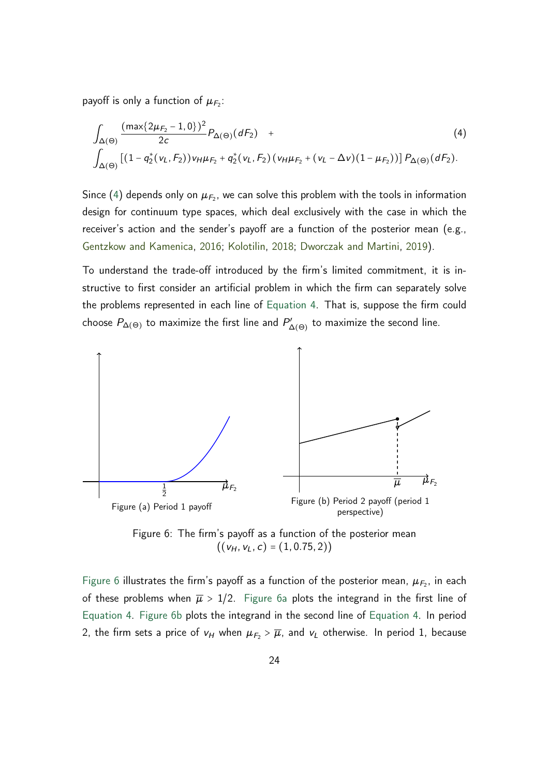payoff is only a function of  $\mu_{F_2}$ :

<span id="page-23-1"></span>
$$
\int_{\Delta(\Theta)} \frac{(\max\{2\mu_{F_2} - 1, 0\})^2}{2c} P_{\Delta(\Theta)}(dF_2) + \int_{\Delta(\Theta)} [(1 - q_2^*(v_L, F_2))v_H \mu_{F_2} + q_2^*(v_L, F_2) (v_H \mu_{F_2} + (v_L - \Delta v)(1 - \mu_{F_2}))] P_{\Delta(\Theta)}(dF_2).
$$
\n(4)

Since [\(4\)](#page-23-1) depends only on  $\mu_{F_2}$ , we can solve this problem with the tools in information design for continuum type spaces, which deal exclusively with the case in which the receiver's action and the sender's payoff are a function of the posterior mean (e.g., [Gentzkow and Kamenica,](#page-35-3) [2016;](#page-35-3) [Kolotilin,](#page-36-3) [2018;](#page-36-3) [Dworczak and Martini,](#page-35-4) [2019\)](#page-35-4).

To understand the trade-off introduced by the firm's limited commitment, it is instructive to first consider an artificial problem in which the firm can separately solve the problems represented in each line of [Equation 4.](#page-23-1) That is, suppose the firm could choose  $P_{\Delta(\Theta)}$  to maximize the first line and  $P'_{\Delta(\Theta)}$  to maximize the second line.

<span id="page-23-3"></span><span id="page-23-2"></span><span id="page-23-0"></span>

Figure 6: The firm's payoff as a function of the posterior mean  $((v_H, v_L, c) = (1, 0.75, 2))$ 

[Figure 6](#page-23-0) illustrates the firm's payoff as a function of the posterior mean,  $\mu_{F_2}$ , in each of these problems when  $\overline{\mu} > 1/2$ . [Figure 6a](#page-23-2) plots the integrand in the first line of [Equation 4.](#page-23-1) [Figure 6b](#page-23-3) plots the integrand in the second line of [Equation 4.](#page-23-1) In period 2, the firm sets a price of  $v_H$  when  $\mu_{F_2} > \overline{\mu}$ , and  $v_L$  otherwise. In period 1, because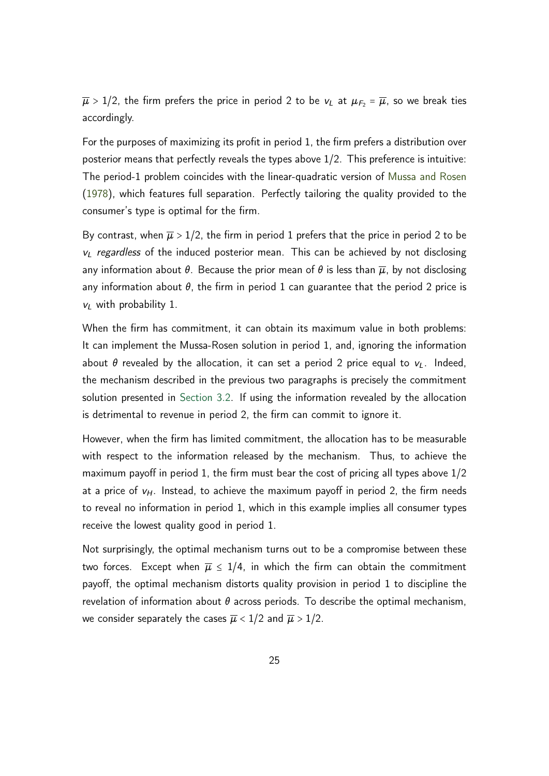$\overline{\mu}$  > 1/2, the firm prefers the price in period 2 to be  $v_L$  at  $\mu_{F_2} = \overline{\mu}$ , so we break ties accordingly.

For the purposes of maximizing its profit in period 1, the firm prefers a distribution over posterior means that perfectly reveals the types above 1/2. This preference is intuitive: The period-1 problem coincides with the linear-quadratic version of [Mussa and Rosen](#page-36-0) [\(1978\)](#page-36-0), which features full separation. Perfectly tailoring the quality provided to the consumer's type is optimal for the firm.

By contrast, when  $\overline{\mu} > 1/2$ , the firm in period 1 prefers that the price in period 2 to be *v<sup>L</sup>* regardless of the induced posterior mean. This can be achieved by not disclosing any information about  $\theta$ . Because the prior mean of  $\theta$  is less than  $\overline{\mu}$ , by not disclosing any information about  $\theta$ , the firm in period 1 can guarantee that the period 2 price is *v<sup>L</sup>* with probability 1.

When the firm has commitment, it can obtain its maximum value in both problems: It can implement the Mussa-Rosen solution in period 1, and, ignoring the information about  $\theta$  revealed by the allocation, it can set a period 2 price equal to  $v_L$ . Indeed, the mechanism described in the previous two paragraphs is precisely the commitment solution presented in [Section 3.2.](#page-12-0) If using the information revealed by the allocation is detrimental to revenue in period 2, the firm can commit to ignore it.

However, when the firm has limited commitment, the allocation has to be measurable with respect to the information released by the mechanism. Thus, to achieve the maximum payoff in period 1, the firm must bear the cost of pricing all types above 1/2 at a price of *vH*. Instead, to achieve the maximum payoff in period 2, the firm needs to reveal no information in period 1, which in this example implies all consumer types receive the lowest quality good in period 1.

Not surprisingly, the optimal mechanism turns out to be a compromise between these two forces. Except when  $\overline{\mu} \leq 1/4$ , in which the firm can obtain the commitment payoff, the optimal mechanism distorts quality provision in period 1 to discipline the revelation of information about  $\theta$  across periods. To describe the optimal mechanism, we consider separately the cases  $\overline{\mu}$  < 1/2 and  $\overline{\mu}$  > 1/2.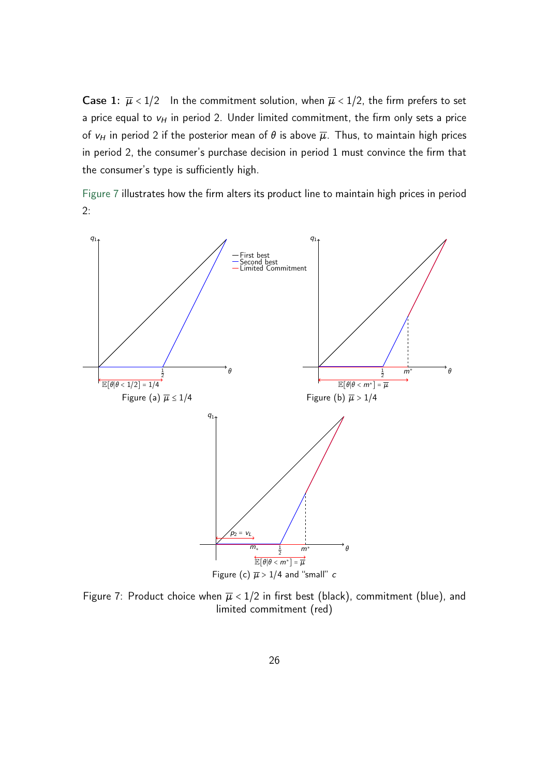**Case 1:**  $\overline{\mu}$  < 1/2 In the commitment solution, when  $\overline{\mu}$  < 1/2, the firm prefers to set a price equal to  $v_H$  in period 2. Under limited commitment, the firm only sets a price of  $v_H$  in period 2 if the posterior mean of  $\theta$  is above  $\overline{\mu}$ . Thus, to maintain high prices in period 2, the consumer's purchase decision in period 1 must convince the firm that the consumer's type is sufficiently high.

[Figure 7](#page-25-0) illustrates how the firm alters its product line to maintain high prices in period 2:

<span id="page-25-2"></span><span id="page-25-1"></span><span id="page-25-0"></span>

Figure 7: Product choice when  $\overline{\mu}$  < 1/2 in first best (black), commitment (blue), and limited commitment (red)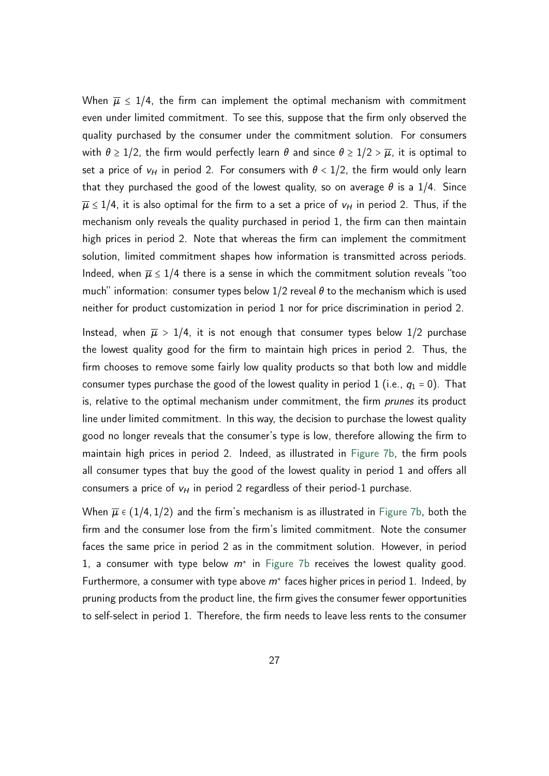When  $\overline{\mu} \leq 1/4$ , the firm can implement the optimal mechanism with commitment even under limited commitment. To see this, suppose that the firm only observed the quality purchased by the consumer under the commitment solution. For consumers with  $\theta \ge 1/2$ , the firm would perfectly learn  $\theta$  and since  $\theta \ge 1/2 > \overline{\mu}$ , it is optimal to set a price of  $v_H$  in period 2. For consumers with  $\theta < 1/2$ , the firm would only learn that they purchased the good of the lowest quality, so on average  $\theta$  is a 1/4. Since  $\overline{\mu} \le 1/4$ , it is also optimal for the firm to a set a price of  $v_H$  in period 2. Thus, if the mechanism only reveals the quality purchased in period 1, the firm can then maintain high prices in period 2. Note that whereas the firm can implement the commitment solution, limited commitment shapes how information is transmitted across periods. Indeed, when  $\overline{\mu} \leq 1/4$  there is a sense in which the commitment solution reveals "too much" information: consumer types below  $1/2$  reveal  $\theta$  to the mechanism which is used neither for product customization in period 1 nor for price discrimination in period 2.

Instead, when  $\overline{\mu} > 1/4$ , it is not enough that consumer types below 1/2 purchase the lowest quality good for the firm to maintain high prices in period 2. Thus, the firm chooses to remove some fairly low quality products so that both low and middle consumer types purchase the good of the lowest quality in period 1 (i.e.,  $q_1 = 0$ ). That is, relative to the optimal mechanism under commitment, the firm *prunes* its product line under limited commitment. In this way, the decision to purchase the lowest quality good no longer reveals that the consumer's type is low, therefore allowing the firm to maintain high prices in period 2. Indeed, as illustrated in [Figure 7b,](#page-25-1) the firm pools all consumer types that buy the good of the lowest quality in period 1 and offers all consumers a price of  $v_H$  in period 2 regardless of their period-1 purchase.

When  $\overline{\mu} \in (1/4, 1/2)$  and the firm's mechanism is as illustrated in [Figure 7b,](#page-25-1) both the firm and the consumer lose from the firm's limited commitment. Note the consumer faces the same price in period 2 as in the commitment solution. However, in period 1, a consumer with type below *m*<sup>∗</sup> in [Figure 7b](#page-25-1) receives the lowest quality good. Furthermore, a consumer with type above *m*<sup>∗</sup> faces higher prices in period 1. Indeed, by pruning products from the product line, the firm gives the consumer fewer opportunities to self-select in period 1. Therefore, the firm needs to leave less rents to the consumer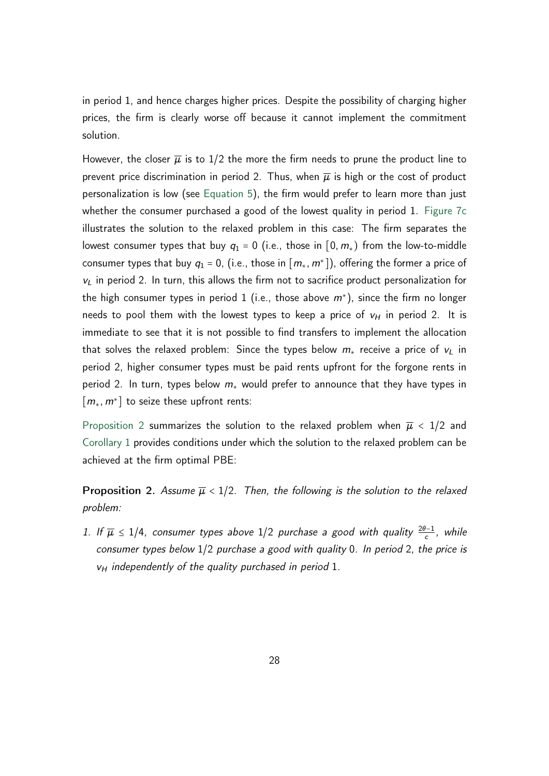in period 1, and hence charges higher prices. Despite the possibility of charging higher prices, the firm is clearly worse off because it cannot implement the commitment solution.

However, the closer  $\overline{\mu}$  is to 1/2 the more the firm needs to prune the product line to prevent price discrimination in period 2. Thus, when  $\overline{\mu}$  is high or the cost of product personalization is low (see [Equation 5\)](#page-28-1), the firm would prefer to learn more than just whether the consumer purchased a good of the lowest quality in period 1. [Figure 7c](#page-25-2) illustrates the solution to the relaxed problem in this case: The firm separates the lowest consumer types that buy  $q_1 = 0$  (i.e., those in [0,  $m_*$ ) from the low-to-middle consumer types that buy  $q_1 = 0$ , (i.e., those in  $[m_*, m^*]$ ), offering the former a price of *v<sup>L</sup>* in period 2. In turn, this allows the firm not to sacrifice product personalization for the high consumer types in period 1 (i.e., those above *m*<sup>∗</sup> ), since the firm no longer needs to pool them with the lowest types to keep a price of  $v_H$  in period 2. It is immediate to see that it is not possible to find transfers to implement the allocation that solves the relaxed problem: Since the types below  $m<sub>*</sub>$  receive a price of  $v<sub>L</sub>$  in period 2, higher consumer types must be paid rents upfront for the forgone rents in period 2. In turn, types below *m*<sup>∗</sup> would prefer to announce that they have types in [*m*∗*; m*<sup>∗</sup> ] to seize these upfront rents:

[Proposition 2](#page-27-0) summarizes the solution to the relaxed problem when  $\overline{\mu}$  < 1/2 and [Corollary 1](#page-28-0) provides conditions under which the solution to the relaxed problem can be achieved at the firm optimal PBE:

<span id="page-27-0"></span>**Proposition 2.** Assume  $\overline{\mu}$  < 1/2. Then, the following is the solution to the relaxed problem:

<span id="page-27-2"></span><span id="page-27-1"></span>1. If  $\overline{\mu}$  ≤ 1/4, consumer types above 1/2 purchase a good with quality  $\frac{2\theta-1}{c}$ , while consumer types below 1/2 purchase a good with quality 0. In period 2, the price is *v<sup>H</sup>* independently of the quality purchased in period 1.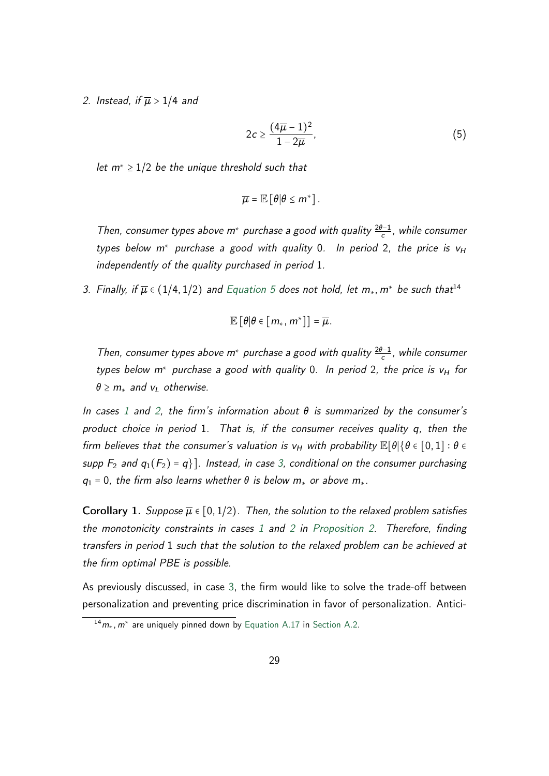2. Instead, if  $\overline{\mu} > 1/4$  and

<span id="page-28-1"></span>
$$
2c \ge \frac{(4\overline{\mu}-1)^2}{1-2\overline{\mu}},\tag{5}
$$

let *m*<sup>∗</sup> ≥ 1/2 be the unique threshold such that

$$
\overline{\mu} = \mathbb{E} [\theta | \theta \leq m^*].
$$

Then, consumer types above *m*<sup>∗</sup> purchase a good with quality <sup>2</sup>*"*−<sup>1</sup> *c* , while consumer types below *m*<sup>∗</sup> purchase a good with quality 0. In period 2, the price is *v<sup>H</sup>* independently of the quality purchased in period 1.

<span id="page-28-2"></span>3. Finally, if  $\overline{\mu} \in (1/4, 1/2)$  and [Equation 5](#page-28-1) does not hold, let  $m_*$ ,  $m^*$  be such that<sup>14</sup>

$$
\mathbb{E}\left[\theta|\theta\in\left[m_*,m^*\right]\right]=\overline{\mu}.
$$

Then, consumer types above *m*<sup>∗</sup> purchase a good with quality <sup>2</sup>*"*−<sup>1</sup> *c* , while consumer types below *m*<sup>∗</sup> purchase a good with quality 0. In period 2, the price is *v<sup>H</sup>* for  $\theta$  ≥  $m$ <sup>\*</sup> and  $v$ <sup>*L*</sup> otherwise.

In cases [1](#page-27-1) and [2,](#page-27-2) the firm's information about  $\theta$  is summarized by the consumer's product choice in period 1. That is, if the consumer receives quality *q*, then the firm believes that the consumer's valuation is  $v_H$  with probability  $\mathbb{E}[\theta|\{\theta \in [0,1]: \theta \in$ supp  $F_2$  and  $q_1(F_2) = q$ ]. Instead, in case [3,](#page-28-2) conditional on the consumer purchasing *q*<sub>1</sub> = 0, the firm also learns whether  $\theta$  is below  $m<sub>∗</sub>$  or above  $m<sub>∗</sub>$ .

<span id="page-28-0"></span>Corollary 1. Suppose  $\overline{\mu} \in [0, 1/2)$ . Then, the solution to the relaxed problem satisfies the monotonicity constraints in cases  $1$  and  $2$  in Proposition  $2$ . Therefore, finding transfers in period 1 such that the solution to the relaxed problem can be achieved at the firm optimal PBE is possible.

As previously discussed, in case [3,](#page-28-2) the firm would like to solve the trade-off between personalization and preventing price discrimination in favor of personalization. Antici-

<sup>&</sup>lt;sup>14</sup>m<sub>∗</sub>, m<sup>∗</sup> are uniquely pinned down by [Equation A.17](#page-45-0) in [Section A.2.](#page-40-0)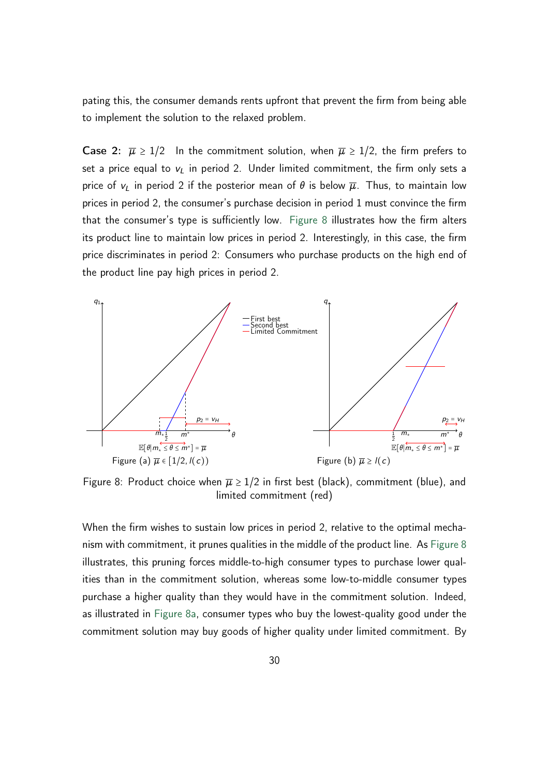pating this, the consumer demands rents upfront that prevent the firm from being able to implement the solution to the relaxed problem.

Case 2:  $\overline{\mu} \ge 1/2$  In the commitment solution, when  $\overline{\mu} \ge 1/2$ , the firm prefers to set a price equal to  $v_L$  in period 2. Under limited commitment, the firm only sets a price of  $v_L$  in period 2 if the posterior mean of  $\theta$  is below  $\overline{\mu}$ . Thus, to maintain low prices in period 2, the consumer's purchase decision in period 1 must convince the firm that the consumer's type is sufficiently low. [Figure 8](#page-29-0) illustrates how the firm alters its product line to maintain low prices in period 2. Interestingly, in this case, the firm price discriminates in period 2: Consumers who purchase products on the high end of the product line pay high prices in period 2.

<span id="page-29-1"></span><span id="page-29-0"></span>

Figure 8: Product choice when  $\overline{\mu} \geq 1/2$  in first best (black), commitment (blue), and limited commitment (red)

When the firm wishes to sustain low prices in period 2, relative to the optimal mechanism with commitment, it prunes qualities in the middle of the product line. As [Figure 8](#page-29-0) illustrates, this pruning forces middle-to-high consumer types to purchase lower qualities than in the commitment solution, whereas some low-to-middle consumer types purchase a higher quality than they would have in the commitment solution. Indeed, as illustrated in [Figure 8a,](#page-29-1) consumer types who buy the lowest-quality good under the commitment solution may buy goods of higher quality under limited commitment. By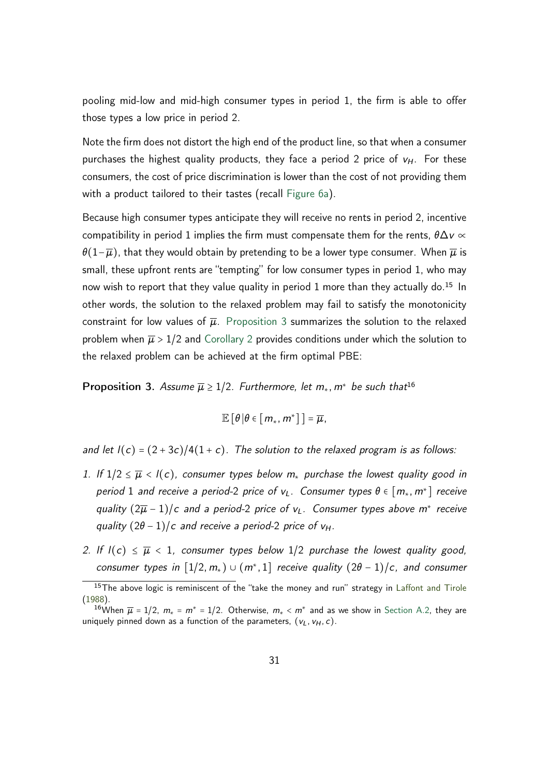pooling mid-low and mid-high consumer types in period 1, the firm is able to offer those types a low price in period 2.

Note the firm does not distort the high end of the product line, so that when a consumer purchases the highest quality products, they face a period 2 price of  $v_H$ . For these consumers, the cost of price discrimination is lower than the cost of not providing them with a product tailored to their tastes (recall [Figure 6a\)](#page-23-2).

Because high consumer types anticipate they will receive no rents in period 2, incentive compatibility in period 1 implies the firm must compensate them for the rents,  $\theta \Delta v \propto$  $\theta(1-\overline{\mu})$ , that they would obtain by pretending to be a lower type consumer. When  $\overline{\mu}$  is small, these upfront rents are "tempting" for low consumer types in period 1, who may now wish to report that they value quality in period 1 more than they actually do.<sup>15</sup> In other words, the solution to the relaxed problem may fail to satisfy the monotonicity constraint for low values of  $\overline{\mu}$ . [Proposition 3](#page-30-0) summarizes the solution to the relaxed problem when  $\overline{\mu} > 1/2$  and [Corollary 2](#page-31-0) provides conditions under which the solution to the relaxed problem can be achieved at the firm optimal PBE:

<span id="page-30-0"></span>**Proposition 3.** Assume  $\overline{\mu} \geq 1/2$ . Furthermore, let  $m_*$ ,  $m^*$  be such that<sup>16</sup>

$$
\mathbb{E}\left[\theta \left|\theta \in \left[m_*, m^*\right]\right]\right] = \overline{\mu},
$$

and let  $I(c) = (2+3c)/4(1+c)$ . The solution to the relaxed program is as follows:

- 1. If  $1/2 \leq \overline{\mu} < I(c)$ , consumer types below  $m_*$  purchase the lowest quality good in period 1 and receive a period-2 price of  $v_L$ . Consumer types  $\theta \in [m_\ast, m^\ast]$  receive quality  $(2\overline{\mu}-1)/c$  and a period-2 price of v<sub>L</sub>. Consumer types above m<sup>\*</sup> receive quality  $(2\theta - 1)/c$  and receive a period-2 price of  $v_H$ .
- 2. If  $I(c) \leq \overline{\mu} < 1$ , consumer types below 1/2 purchase the lowest quality good, consumer types in  $[1/2, m_*) \cup (m^*, 1]$  receive quality  $(2\theta - 1)/c$ , and consumer

<sup>&</sup>lt;sup>15</sup>The above logic is reminiscent of the "take the money and run" strategy in [Laffont and Tirole](#page-36-1) [\(1988\)](#page-36-1).

<sup>&</sup>lt;sup>16</sup>When  $\overline{\mu}$  = 1/2,  $m_*$  =  $m^*$  = 1/2. Otherwise,  $m_* < m^*$  and as we show in [Section A.2,](#page-40-0) they are uniquely pinned down as a function of the parameters,  $(v_L, v_H, c)$ .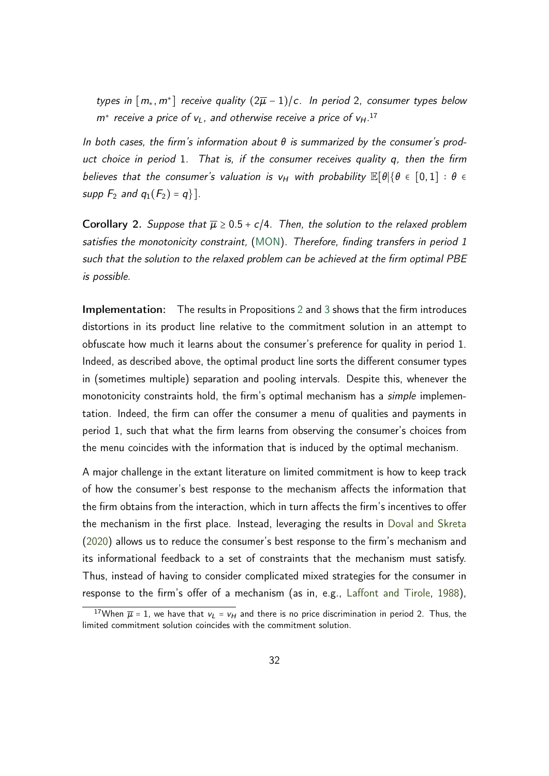types in  $[m_*, m^*]$  receive quality  $(2\overline{\mu}-1)/c$ . In period 2, consumer types below *m*<sup>∗</sup> receive a price of *vL*, and otherwise receive a price of *vH*. 17

In both cases, the firm's information about  $\theta$  is summarized by the consumer's product choice in period 1. That is, if the consumer receives quality *q*, then the firm believes that the consumer's valuation is  $v_H$  with probability  $\mathbb{E}[\theta|\{\theta \in [0,1]: \theta \in$ supp  $F_2$  and  $q_1(F_2) = q$ .

<span id="page-31-0"></span>**Corollary 2.** Suppose that  $\overline{\mu} \ge 0.5 + c/4$ . Then, the solution to the relaxed problem satisfies the monotonicity constraint, [\(MON\)](#page-21-1). Therefore, finding transfers in period 1 such that the solution to the relaxed problem can be achieved at the firm optimal PBE is possible.

Implementation: The results in Propositions [2](#page-27-0) and [3](#page-30-0) shows that the firm introduces distortions in its product line relative to the commitment solution in an attempt to obfuscate how much it learns about the consumer's preference for quality in period 1. Indeed, as described above, the optimal product line sorts the different consumer types in (sometimes multiple) separation and pooling intervals. Despite this, whenever the monotonicity constraints hold, the firm's optimal mechanism has a *simple* implementation. Indeed, the firm can offer the consumer a menu of qualities and payments in period 1, such that what the firm learns from observing the consumer's choices from the menu coincides with the information that is induced by the optimal mechanism.

A major challenge in the extant literature on limited commitment is how to keep track of how the consumer's best response to the mechanism affects the information that the firm obtains from the interaction, which in turn affects the firm's incentives to offer the mechanism in the first place. Instead, leveraging the results in [Doval and Skreta](#page-35-2) [\(2020\)](#page-35-2) allows us to reduce the consumer's best response to the firm's mechanism and its informational feedback to a set of constraints that the mechanism must satisfy. Thus, instead of having to consider complicated mixed strategies for the consumer in response to the firm's offer of a mechanism (as in, e.g., [Laffont and Tirole,](#page-36-1) [1988\)](#page-36-1),

<sup>&</sup>lt;sup>17</sup>When  $\overline{\mu}$  = 1, we have that  $v_L = v_H$  and there is no price discrimination in period 2. Thus, the limited commitment solution coincides with the commitment solution.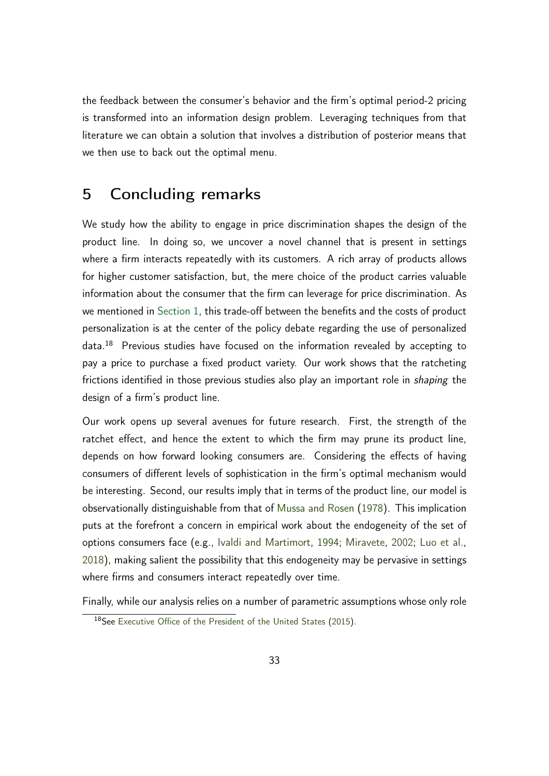the feedback between the consumer's behavior and the firm's optimal period-2 pricing is transformed into an information design problem. Leveraging techniques from that literature we can obtain a solution that involves a distribution of posterior means that we then use to back out the optimal menu.

# <span id="page-32-0"></span>5 Concluding remarks

We study how the ability to engage in price discrimination shapes the design of the product line. In doing so, we uncover a novel channel that is present in settings where a firm interacts repeatedly with its customers. A rich array of products allows for higher customer satisfaction, but, the mere choice of the product carries valuable information about the consumer that the firm can leverage for price discrimination. As we mentioned in [Section 1,](#page-1-0) this trade-off between the benefits and the costs of product personalization is at the center of the policy debate regarding the use of personalized data.<sup>18</sup> Previous studies have focused on the information revealed by accepting to pay a price to purchase a fixed product variety. Our work shows that the ratcheting frictions identified in those previous studies also play an important role in *shaping* the design of a firm's product line.

Our work opens up several avenues for future research. First, the strength of the ratchet effect, and hence the extent to which the firm may prune its product line, depends on how forward looking consumers are. Considering the effects of having consumers of different levels of sophistication in the firm's optimal mechanism would be interesting. Second, our results imply that in terms of the product line, our model is observationally distinguishable from that of [Mussa and Rosen](#page-36-0) [\(1978\)](#page-36-0). This implication puts at the forefront a concern in empirical work about the endogeneity of the set of options consumers face (e.g., [Ivaldi and Martimort,](#page-36-7) [1994;](#page-36-7) [Miravete,](#page-36-8) [2002;](#page-36-8) [Luo et al.,](#page-36-9) [2018\)](#page-36-9), making salient the possibility that this endogeneity may be pervasive in settings where firms and consumers interact repeatedly over time.

Finally, while our analysis relies on a number of parametric assumptions whose only role

<sup>18</sup>See [Executive Office of the President of the United States](#page-35-0) [\(2015\)](#page-35-0).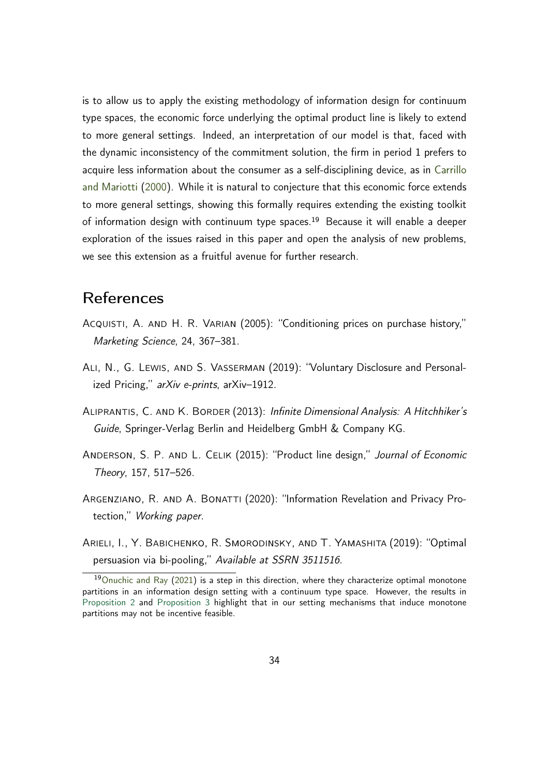is to allow us to apply the existing methodology of information design for continuum type spaces, the economic force underlying the optimal product line is likely to extend to more general settings. Indeed, an interpretation of our model is that, faced with the dynamic inconsistency of the commitment solution, the firm in period 1 prefers to acquire less information about the consumer as a self-disciplining device, as in [Carrillo](#page-34-10) [and Mariotti](#page-34-10) [\(2000\)](#page-34-10). While it is natural to conjecture that this economic force extends to more general settings, showing this formally requires extending the existing toolkit of information design with continuum type spaces.<sup>19</sup> Because it will enable a deeper exploration of the issues raised in this paper and open the analysis of new problems, we see this extension as a fruitful avenue for further research.

# References

- <span id="page-33-0"></span>Acquisti, A. and H. R. Varian (2005): "Conditioning prices on purchase history," Marketing Science, 24, 367–381.
- <span id="page-33-4"></span>Ali, N., G. Lewis, and S. Vasserman (2019): "Voluntary Disclosure and Personalized Pricing," arXiv e-prints, arXiv-1912.
- <span id="page-33-5"></span>Aliprantis, C. and K. Border (2013): Infinite Dimensional Analysis: A Hitchhiker's Guide, Springer-Verlag Berlin and Heidelberg GmbH & Company KG.
- <span id="page-33-1"></span>ANDERSON, S. P. AND L. CELIK (2015): "Product line design," Journal of Economic Theory, 157, 517–526.
- <span id="page-33-3"></span>ARGENZIANO, R. AND A. BONATTI (2020): "Information Revelation and Privacy Protection," Working paper.
- <span id="page-33-2"></span>Arieli, I., Y. Babichenko, R. Smorodinsky, and T. Yamashita (2019): "Optimal persuasion via bi-pooling," Available at SSRN 3511516.

 $19$ [Onuchic and Ray](#page-36-10) [\(2021\)](#page-36-10) is a step in this direction, where they characterize optimal monotone partitions in an information design setting with a continuum type space. However, the results in [Proposition 2](#page-27-0) and [Proposition 3](#page-30-0) highlight that in our setting mechanisms that induce monotone partitions may not be incentive feasible.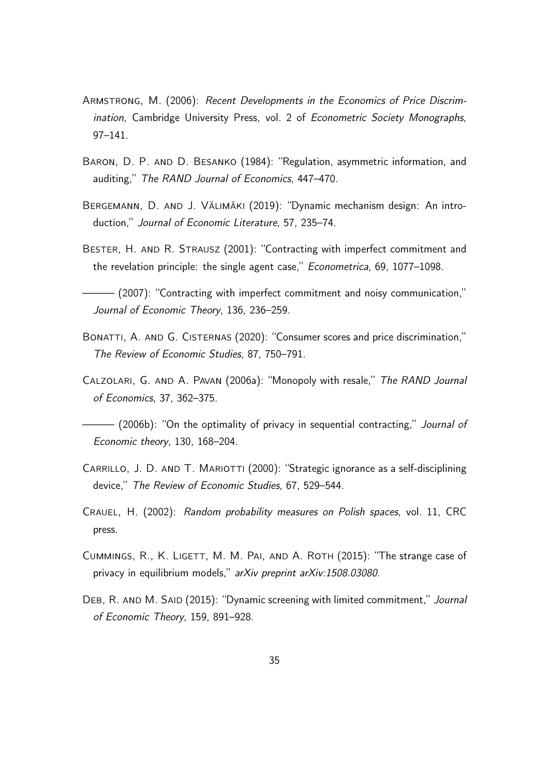- <span id="page-34-1"></span>Armstrong, M. (2006): Recent Developments in the Economics of Price Discrimination, Cambridge University Press, vol. 2 of Econometric Society Monographs, 97–141.
- <span id="page-34-0"></span>BARON, D. P. AND D. BESANKO (1984): "Regulation, asymmetric information, and auditing," The RAND Journal of Economics, 447–470.
- <span id="page-34-2"></span>Bergemann, D. and J. Välimäki (2019): "Dynamic mechanism design: An introduction," Journal of Economic Literature, 57, 235–74.
- <span id="page-34-8"></span>BESTER, H. AND R. STRAUSZ (2001): "Contracting with imperfect commitment and the revelation principle: the single agent case," Econometrica, 69, 1077–1098.

<span id="page-34-9"></span>——— (2007): "Contracting with imperfect commitment and noisy communication," Journal of Economic Theory, 136, 236–259.

- <span id="page-34-5"></span>BONATTI, A. AND G. CISTERNAS (2020): "Consumer scores and price discrimination," The Review of Economic Studies, 87, 750–791.
- <span id="page-34-7"></span>Calzolari, G. and A. Pavan (2006a): "Monopoly with resale," The RAND Journal of Economics, 37, 362–375.

<span id="page-34-4"></span>– (2006b): "On the optimality of privacy in sequential contracting," *Journal of* Economic theory, 130, 168–204.

- <span id="page-34-10"></span>CARRILLO, J. D. AND T. MARIOTTI (2000): "Strategic ignorance as a self-disciplining device," The Review of Economic Studies, 67, 529–544.
- <span id="page-34-11"></span>Crauel, H. (2002): Random probability measures on Polish spaces, vol. 11, CRC press.
- <span id="page-34-6"></span>Cummings, R., K. Ligett, M. M. Pai, and A. Roth (2015): "The strange case of privacy in equilibrium models," arXiv preprint arXiv:1508.03080.
- <span id="page-34-3"></span>DEB, R. AND M. SAID (2015): "Dynamic screening with limited commitment," Journal of Economic Theory, 159, 891–928.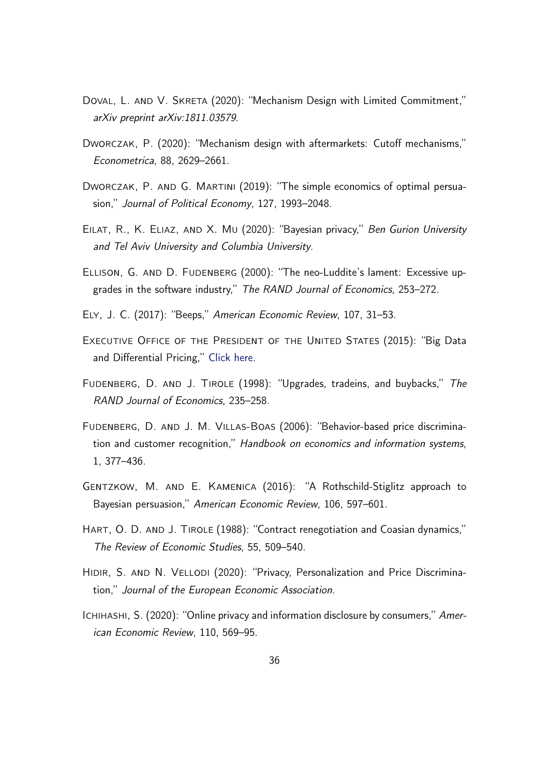- <span id="page-35-2"></span>DOVAL, L. AND V. SKRETA (2020): "Mechanism Design with Limited Commitment," arXiv preprint arXiv:1811.03579.
- <span id="page-35-11"></span>Dworczak, P. (2020): "Mechanism design with aftermarkets: Cutoff mechanisms," Econometrica, 88, 2629–2661.
- <span id="page-35-4"></span>DWORCZAK, P. AND G. MARTINI (2019): "The simple economics of optimal persuasion," Journal of Political Economy, 127, 1993–2048.
- <span id="page-35-8"></span>EILAT, R., K. ELIAZ, AND X. MU (2020): "Bayesian privacy," Ben Gurion University and Tel Aviv University and Columbia University.
- <span id="page-35-6"></span>Ellison, G. and D. Fudenberg (2000): "The neo-Luddite's lament: Excessive upgrades in the software industry," The RAND Journal of Economics, 253–272.
- <span id="page-35-12"></span>Ely, J. C. (2017): "Beeps," American Economic Review, 107, 31–53.
- <span id="page-35-0"></span>EXECUTIVE OFFICE OF THE PRESIDENT OF THE UNITED STATES (2015): "Big Data and Differential Pricing," [Click here.](https://obamawhitehouse.archives.gov/sites/default/files/whitehouse_files/docs/Big_Data_Report_Nonembargo_v2.pdf)
- <span id="page-35-5"></span>Fudenberg, D. and J. Tirole (1998): "Upgrades, tradeins, and buybacks," The RAND Journal of Economics, 235–258.
- <span id="page-35-7"></span>Fudenberg, D. and J. M. Villas-Boas (2006): "Behavior-based price discrimination and customer recognition," Handbook on economics and information systems, 1, 377–436.
- <span id="page-35-3"></span>Gentzkow, M. and E. Kamenica (2016): "A Rothschild-Stiglitz approach to Bayesian persuasion," American Economic Review, 106, 597–601.
- <span id="page-35-1"></span>Hart, O. D. and J. Tirole (1988): "Contract renegotiation and Coasian dynamics," The Review of Economic Studies, 55, 509–540.
- <span id="page-35-10"></span>HIDIR, S. AND N. VELLODI (2020): "Privacy, Personalization and Price Discrimination," Journal of the European Economic Association.
- <span id="page-35-9"></span>ICHIHASHI, S. (2020): "Online privacy and information disclosure by consumers," American Economic Review, 110, 569–95.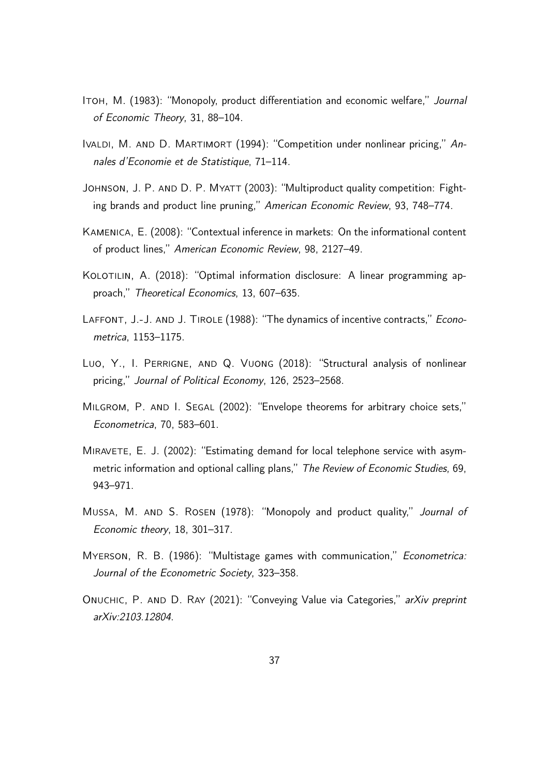- <span id="page-36-4"></span>ITOH, M. (1983): "Monopoly, product differentiation and economic welfare," Journal of Economic Theory, 31, 88–104.
- <span id="page-36-7"></span>IVALDI, M. AND D. MARTIMORT (1994): "Competition under nonlinear pricing," Annales d'Economie et de Statistique, 71–114.
- <span id="page-36-5"></span>JOHNSON, J. P. AND D. P. MYATT (2003): "Multiproduct quality competition: Fighting brands and product line pruning," American Economic Review, 93, 748–774.
- <span id="page-36-6"></span>Kamenica, E. (2008): "Contextual inference in markets: On the informational content of product lines," American Economic Review, 98, 2127–49.
- <span id="page-36-3"></span>KOLOTILIN, A. (2018): "Optimal information disclosure: A linear programming approach," Theoretical Economics, 13, 607–635.
- <span id="page-36-1"></span>LAFFONT, J.-J. AND J. TIROLE (1988): "The dynamics of incentive contracts," Econometrica, 1153–1175.
- <span id="page-36-9"></span>Luo, Y., I. Perrigne, and Q. Vuong (2018): "Structural analysis of nonlinear pricing," Journal of Political Economy, 126, 2523–2568.
- <span id="page-36-11"></span>MILGROM, P. AND I. SEGAL (2002): "Envelope theorems for arbitrary choice sets," Econometrica, 70, 583–601.
- <span id="page-36-8"></span>MIRAVETE, E. J. (2002): "Estimating demand for local telephone service with asymmetric information and optional calling plans," The Review of Economic Studies, 69, 943–971.
- <span id="page-36-0"></span>Mussa, M. and S. Rosen (1978): "Monopoly and product quality," Journal of Economic theory, 18, 301–317.
- <span id="page-36-2"></span>Myerson, R. B. (1986): "Multistage games with communication," Econometrica: Journal of the Econometric Society, 323–358.
- <span id="page-36-10"></span>Onuchic, P. and D. Ray (2021): "Conveying Value via Categories," arXiv preprint arXiv:2103.12804.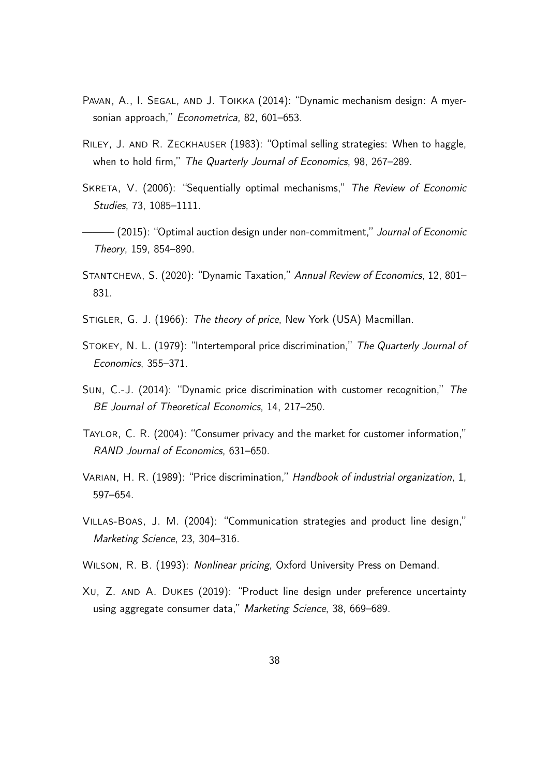- <span id="page-37-5"></span>PAVAN, A., I. SEGAL, AND J. TOIKKA (2014): "Dynamic mechanism design: A myersonian approach," Econometrica, 82, 601-653.
- <span id="page-37-3"></span>Riley, J. and R. Zeckhauser (1983): "Optimal selling strategies: When to haggle, when to hold firm," The Quarterly Journal of Economics, 98, 267–289.
- <span id="page-37-11"></span>SKRETA, V. (2006): "Sequentially optimal mechanisms," The Review of Economic Studies, 73, 1085–1111.
- <span id="page-37-12"></span> $-$  (2015): "Optimal auction design under non-commitment," Journal of Economic Theory, 159, 854–890.
- <span id="page-37-6"></span>STANTCHEVA, S. (2020): "Dynamic Taxation," Annual Review of Economics, 12, 801-831.
- <span id="page-37-0"></span>STIGLER, G. J. (1966): The theory of price, New York (USA) Macmillan.
- <span id="page-37-2"></span>Stokey, N. L. (1979): "Intertemporal price discrimination," The Quarterly Journal of Economics, 355–371.
- <span id="page-37-7"></span>Sun, C.-J. (2014): "Dynamic price discrimination with customer recognition," The BE Journal of Theoretical Economics, 14, 217–250.
- <span id="page-37-10"></span>Taylor, C. R. (2004): "Consumer privacy and the market for customer information," RAND Journal of Economics, 631–650.
- <span id="page-37-1"></span>Varian, H. R. (1989): "Price discrimination," Handbook of industrial organization, 1, 597–654.
- <span id="page-37-8"></span>Villas-Boas, J. M. (2004): "Communication strategies and product line design," Marketing Science, 23, 304–316.
- <span id="page-37-4"></span>Wilson, R. B. (1993): Nonlinear pricing, Oxford University Press on Demand.
- <span id="page-37-9"></span>Xu, Z. and A. Dukes (2019): "Product line design under preference uncertainty using aggregate consumer data," Marketing Science, 38, 669-689.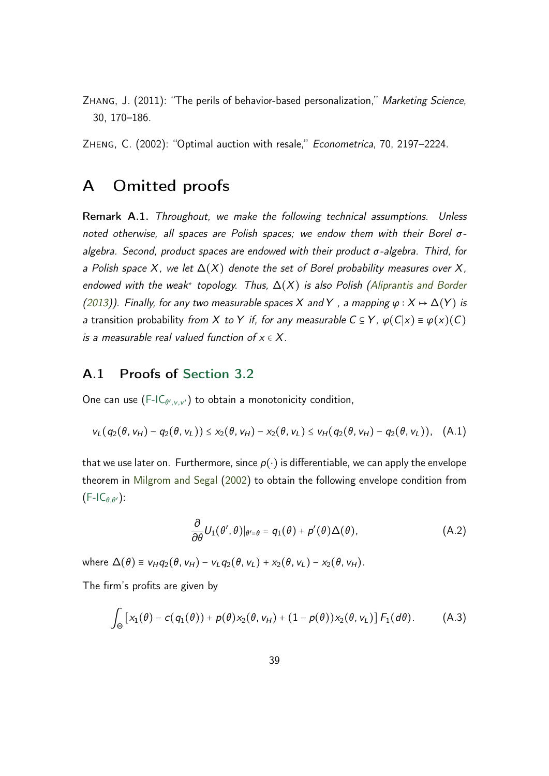<span id="page-38-0"></span>Zhang, J. (2011): "The perils of behavior-based personalization," Marketing Science, 30, 170–186.

<span id="page-38-1"></span>Zheng, C. (2002): "Optimal auction with resale," Econometrica, 70, 2197–2224.

# <span id="page-38-2"></span>A Omitted proofs

<span id="page-38-5"></span>Remark A.1. Throughout, we make the following technical assumptions. Unless noted otherwise, all spaces are Polish spaces; we endow them with their Borel  $\sigma$ algebra. Second, product spaces are endowed with their product  $\sigma$ -algebra. Third, for a Polish space *X*, we let ∆(*X*) denote the set of Borel probability measures over *X*, endowed with the weak<sup>∗</sup> topology. Thus, ∆(*X*) is also Polish [\(Aliprantis and Border](#page-33-5) [\(2013\)](#page-33-5)). Finally, for any two measurable spaces *X* and *Y*, a mapping  $\varphi$  :  $X \mapsto \Delta(Y)$  is a transition probability from *X* to *Y* if, for any measurable  $C \subseteq Y$ ,  $\varphi(C|x) \equiv \varphi(x)(C)$ is a measurable real valued function of *x* ∈ *X*.

### <span id="page-38-3"></span>A.1 Proofs of [Section 3.2](#page-12-0)

One can use  $(F\text{-IC}_{\theta',v,v'})$  to obtain a monotonicity condition,

$$
v_L(q_2(\theta, v_H) - q_2(\theta, v_L)) \le x_2(\theta, v_H) - x_2(\theta, v_L) \le v_H(q_2(\theta, v_H) - q_2(\theta, v_L)), \quad (A.1)
$$

that we use later on. Furthermore, since  $p(\cdot)$  is differentiable, we can apply the envelope theorem in [Milgrom and Segal](#page-36-11) [\(2002\)](#page-36-11) to obtain the following envelope condition from  $(F-IC_{\theta,\theta'}):$  $(F-IC_{\theta,\theta'}):$ 

<span id="page-38-4"></span>
$$
\frac{\partial}{\partial \theta} U_1(\theta', \theta)|_{\theta' = \theta} = q_1(\theta) + p'(\theta) \Delta(\theta), \tag{A.2}
$$

 $\text{where } \Delta(\theta) \equiv v_H q_2(\theta, v_H) - v_L q_2(\theta, v_L) + x_2(\theta, v_L) - x_2(\theta, v_H).$ 

The firm's profits are given by

$$
\int_{\Theta} \left[ x_1(\theta) - c(q_1(\theta)) + p(\theta) x_2(\theta, v_H) + (1 - p(\theta)) x_2(\theta, v_L) \right] F_1(d\theta).
$$
 (A.3)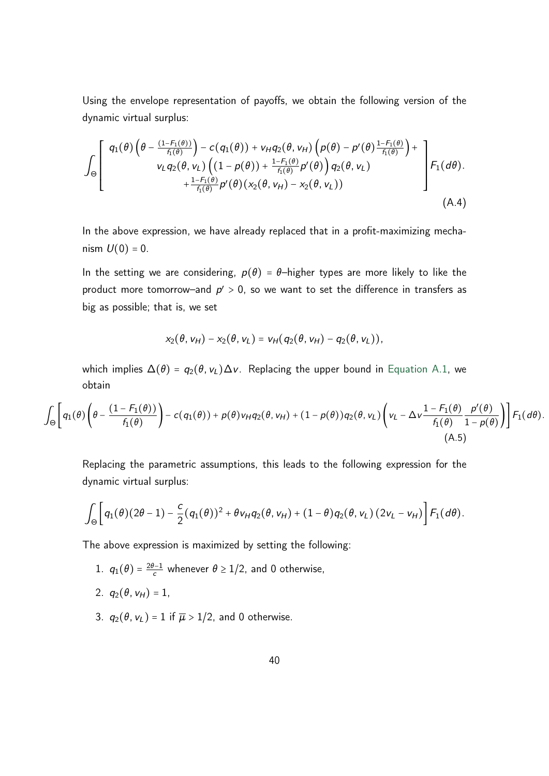Using the envelope representation of payoffs, we obtain the following version of the dynamic virtual surplus:

$$
\int_{\Theta} \left[ \begin{array}{c} q_1(\theta) \left( \theta - \frac{(1 - F_1(\theta))}{f_1(\theta)} \right) - c(q_1(\theta)) + v_H q_2(\theta, v_H) \left( p(\theta) - p'(\theta) \frac{1 - F_1(\theta)}{f_1(\theta)} \right) + \\ v_L q_2(\theta, v_L) \left( (1 - p(\theta)) + \frac{1 - F_1(\theta)}{f_1(\theta)} p'(\theta) \right) q_2(\theta, v_L) \\ + \frac{1 - F_1(\theta)}{f_1(\theta)} p'(\theta) (x_2(\theta, v_H) - x_2(\theta, v_L)) \end{array} \right] F_1(d\theta).
$$
\n(A.4)

In the above expression, we have already replaced that in a profit-maximizing mechanism  $U(0) = 0$ .

In the setting we are considering,  $p(\theta) = \theta$ -higher types are more likely to like the product more tomorrow-and  $p' > 0$ , so we want to set the difference in transfers as big as possible; that is, we set

<span id="page-39-0"></span>
$$
x_2(\theta,\mathsf{v}_H)-x_2(\theta,\mathsf{v}_L)=\mathsf{v}_H(q_2(\theta,\mathsf{v}_H)-q_2(\theta,\mathsf{v}_L)),
$$

which implies  $\Delta(\theta) = q_2(\theta, v_L) \Delta v$ . Replacing the upper bound in [Equation A.1,](#page-38-4) we obtain

$$
\int_{\Theta} \left[ q_1(\theta) \left( \theta - \frac{(1 - F_1(\theta))}{f_1(\theta)} \right) - c(q_1(\theta)) + p(\theta) v_H q_2(\theta, v_H) + (1 - p(\theta)) q_2(\theta, v_L) \left( v_L - \Delta v \frac{1 - F_1(\theta)}{f_1(\theta)} \frac{p'(\theta)}{1 - p(\theta)} \right) \right] F_1(d\theta).
$$
\n(A.5)

Replacing the parametric assumptions, this leads to the following expression for the dynamic virtual surplus:

$$
\int_{\Theta} \left[ q_1(\theta) (2\theta-1) - \frac{c}{2} (q_1(\theta))^2 + \theta v_H q_2(\theta, v_H) + (1-\theta) q_2(\theta, v_L) (2v_L - v_H) \right] F_1(d\theta).
$$

The above expression is maximized by setting the following:

- 1.  $q_1(\theta) = \frac{2\theta 1}{c}$  whenever  $\theta \ge 1/2$ , and 0 otherwise,
- 2.  $q_2(\theta, v_H) = 1$ ,
- 3.  $q_2(\theta, v_L) = 1$  if  $\overline{\mu} > 1/2$ , and 0 otherwise.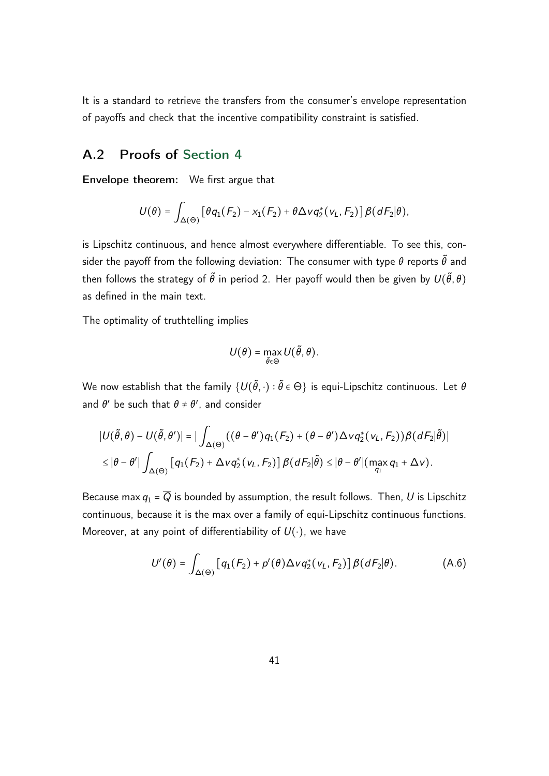It is a standard to retrieve the transfers from the consumer's envelope representation of payoffs and check that the incentive compatibility constraint is satisfied.

### <span id="page-40-0"></span>A.2 Proofs of [Section 4](#page-16-0)

Envelope theorem: We first argue that

$$
U(\theta) = \int_{\Delta(\Theta)} \left[ \theta q_1(F_2) - x_1(F_2) + \theta \Delta \nu q_2^*(v_L, F_2) \right] \beta(dF_2|\theta),
$$

is Lipschitz continuous, and hence almost everywhere differentiable. To see this, consider the payoff from the following deviation: The consumer with type  $\theta$  reports  $\tilde{\theta}$  and then follows the strategy of  $\tilde{\theta}$  in period 2. Her payoff would then be given by  $U(\tilde{\theta},\theta)$ as defined in the main text.

The optimality of truthtelling implies

$$
U(\theta) = \max_{\tilde{\theta} \in \Theta} U(\tilde{\theta}, \theta).
$$

We now establish that the family  $\{U(\tilde{\theta},\cdot):\tilde{\theta}\in\Theta\}$  is equi-Lipschitz continuous. Let  $\theta$ and  $\theta'$  be such that  $\theta \neq \theta'$ , and consider

$$
\begin{aligned} &|U(\tilde{\theta},\theta)-U(\tilde{\theta},\theta')|=|\int_{\Delta(\Theta)}((\theta-\theta')q_1(F_2)+(\theta-\theta')\Delta\nu q_2^*(v_L,F_2))\beta(dF_2|\tilde{\theta})|\\ &\leq |\theta-\theta'| \int_{\Delta(\Theta)}\left[q_1(F_2)+\Delta\nu q_2^*(v_L,F_2)\right]\beta(dF_2|\tilde{\theta})\leq |\theta-\theta'| \big(\max_{q_1}q_1+\Delta\nu\big). \end{aligned}
$$

Because max  $q_1 = \overline{Q}$  is bounded by assumption, the result follows. Then, *U* is Lipschitz continuous, because it is the max over a family of equi-Lipschitz continuous functions. Moreover, at any point of differentiability of *U*(⋅), we have

<span id="page-40-1"></span>
$$
U'(\theta) = \int_{\Delta(\Theta)} \left[ q_1(F_2) + p'(\theta) \Delta \nu q_2^*(\nu_L, F_2) \right] \beta(dF_2|\theta).
$$
 (A.6)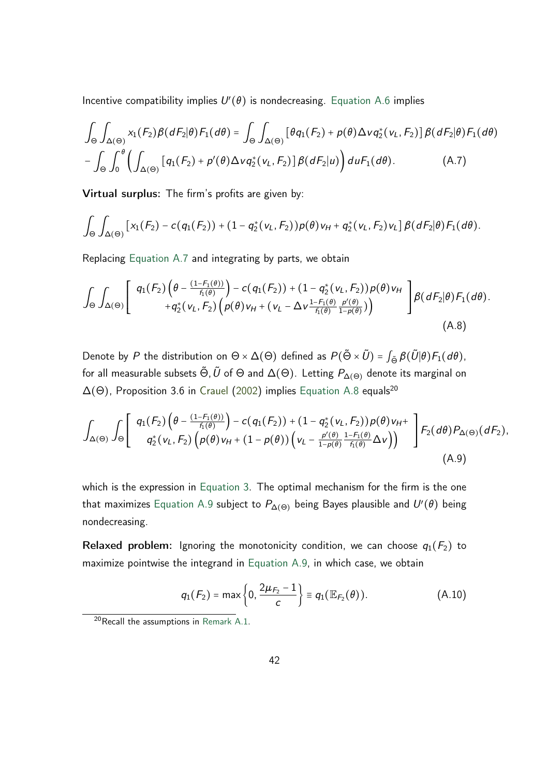Incentive compatibility implies  $U'(\theta)$  is nondecreasing. [Equation A.6](#page-40-1) implies

<span id="page-41-0"></span>
$$
\int_{\Theta} \int_{\Delta(\Theta)} x_1(F_2) \beta(dF_2|\theta) F_1(d\theta) = \int_{\Theta} \int_{\Delta(\Theta)} \left[ \theta q_1(F_2) + p(\theta) \Delta \nu q_2^*(v_L, F_2) \right] \beta(dF_2|\theta) F_1(d\theta)
$$

$$
- \int_{\Theta} \int_0^{\theta} \left( \int_{\Delta(\Theta)} \left[ q_1(F_2) + p'(\theta) \Delta \nu q_2^*(v_L, F_2) \right] \beta(dF_2|u) \right) d\mu F_1(d\theta). \tag{A.7}
$$

Virtual surplus: The firm's profits are given by:

$$
\int_{\Theta}\int_{\Delta(\Theta)}\left[x_1(F_2)-c(q_1(F_2))+(1-q_2^*(v_L,F_2))\rho(\theta)v_H+q_2^*(v_L,F_2)v_L\right]\beta(dF_2|\theta)F_1(d\theta).
$$

Replacing [Equation A.7](#page-41-0) and integrating by parts, we obtain

<span id="page-41-1"></span>
$$
\int_{\Theta}\int_{\Delta(\Theta)}\left[\begin{array}{c}q_1(F_2)\left(\theta-\frac{(1-F_1(\theta))}{f_1(\theta)}\right)-c(q_1(F_2))+(1-q_2^*(v_L,F_2))\rho(\theta)v_H\\+q_2^*(v_L,F_2)\left(\rho(\theta)v_H+(v_L-\Delta v\frac{1-F_1(\theta)}{f_1(\theta)}\frac{\rho'(\theta)}{1-\rho(\theta)})\right)\end{array}\right]\beta(dF_2|\theta)F_1(d\theta).
$$
\n(A.8)

Denote by *P* the distribution on  $\Theta \times \Delta(\Theta)$  defined as  $P(\tilde{\Theta} \times \tilde{U}) = \int_{\tilde{\Theta}} \beta(\tilde{U}|\theta) F_1(d\theta)$ , for all measurable subsets  $\tilde{\Theta}$ ,  $\tilde{U}$  of  $\Theta$  and  $\Delta(\Theta)$ . Letting  $P_{\Delta(\Theta)}$  denote its marginal on  $\Delta(\Theta)$ , Proposition 3.6 in [Crauel](#page-34-11) [\(2002\)](#page-34-11) implies [Equation A.8](#page-41-1) equals<sup>20</sup>

$$
\int_{\Delta(\Theta)} \int_{\Theta} \left[ \begin{array}{c} q_{1}(F_{2}) \left( \theta - \frac{(1-F_{1}(\theta))}{f_{1}(\theta)} \right) - c(q_{1}(F_{2})) + (1-q_{2}^{*}(v_{L}, F_{2})) p(\theta) v_{H} + \\ q_{2}^{*}(v_{L}, F_{2}) \left( p(\theta) v_{H} + (1-p(\theta)) \left( v_{L} - \frac{p'(\theta)}{1-p(\theta)} \frac{1-F_{1}(\theta)}{f_{1}(\theta)} \Delta v \right) \right) \end{array} \right] F_{2}(d\theta) P_{\Delta(\Theta)}(dF_{2}), \tag{A.9}
$$

which is the expression in [Equation 3.](#page-21-0) The optimal mechanism for the firm is the one that maximizes [Equation A.9](#page-41-2) subject to  $P_{\Delta(\Theta)}$  being Bayes plausible and  $U'(\theta)$  being nondecreasing.

Relaxed problem: Ignoring the monotonicity condition, we can choose  $q_1(F_2)$  to maximize pointwise the integrand in [Equation A.9,](#page-41-2) in which case, we obtain

<span id="page-41-3"></span><span id="page-41-2"></span>
$$
q_1(F_2) = \max\left\{0, \frac{2\mu_{F_2} - 1}{c}\right\} \equiv q_1(\mathbb{E}_{F_2}(\theta)).
$$
 (A.10)

 $20$  Recall the assumptions in [Remark A.1.](#page-38-5)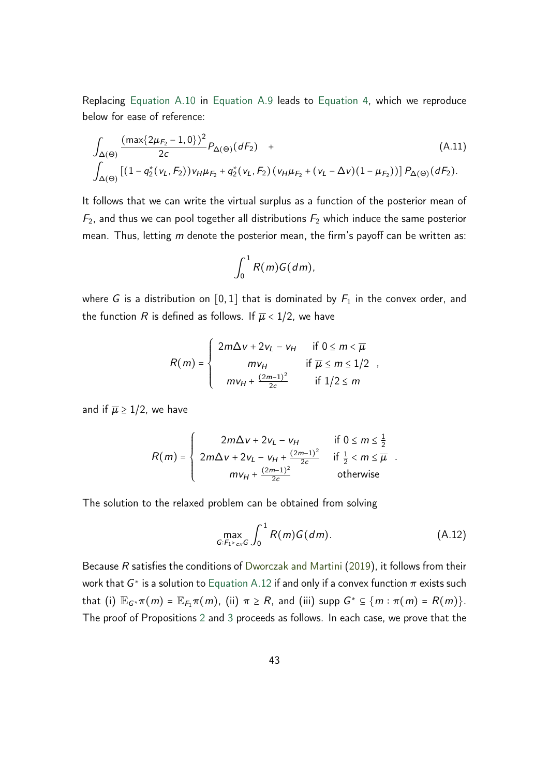Replacing [Equation A.10](#page-41-3) in [Equation A.9](#page-41-2) leads to [Equation 4,](#page-23-1) which we reproduce below for ease of reference:

$$
\int_{\Delta(\Theta)} \frac{(\max\{2\mu_{F_2} - 1, 0\})^2}{2c} P_{\Delta(\Theta)}(dF_2) + \left[ (A.11) \int_{\Delta(\Theta)} [(1 - q_2^*(v_L, F_2))v_H \mu_{F_2} + q_2^*(v_L, F_2) (v_H \mu_{F_2} + (v_L - \Delta v)(1 - \mu_{F_2}))] P_{\Delta(\Theta)}(dF_2).
$$
\n(A.11)

It follows that we can write the virtual surplus as a function of the posterior mean of  $F_2$ , and thus we can pool together all distributions  $F_2$  which induce the same posterior mean. Thus, letting *m* denote the posterior mean, the firm's payoff can be written as:

$$
\int_0^1 R(m)G(dm),
$$

where *G* is a distribution on  $[0,1]$  that is dominated by  $F_1$  in the convex order, and the function *R* is defined as follows. If  $\overline{\mu}$  < 1/2, we have

$$
R(m) = \begin{cases} 2m\Delta v + 2v_L - v_H & \text{if } 0 \le m < \overline{\mu} \\ mv_H & \text{if } \overline{\mu} \le m \le 1/2 \\ mv_H + \frac{(2m-1)^2}{2c} & \text{if } 1/2 \le m \end{cases}
$$

and if  $\overline{\mu} \geq 1/2$ , we have

$$
R(m) = \begin{cases} 2m\Delta v + 2v_L - v_H & \text{if } 0 \le m \le \frac{1}{2} \\ 2m\Delta v + 2v_L - v_H + \frac{(2m-1)^2}{2c} & \text{if } \frac{1}{2} < m \le \overline{\mu} \\ m v_H + \frac{(2m-1)^2}{2c} & \text{otherwise} \end{cases}
$$

The solution to the relaxed problem can be obtained from solving

<span id="page-42-0"></span>
$$
\max_{G:F_1>_{cx}G} \int_0^1 R(m)G(dm). \tag{A.12}
$$

Because *R* satisfies the conditions of [Dworczak and Martini](#page-35-4) [\(2019\)](#page-35-4), it follows from their work that  $G^*$  is a solution to [Equation A.12](#page-42-0) if and only if a convex function  $\pi$  exists such that (i)  $\mathbb{E}_{G^*}\pi(m) = \mathbb{E}_{F_1}\pi(m)$ , (ii)  $\pi \ge R$ , and (iii) supp  $G^* \subseteq \{m : \pi(m) = R(m)\}.$ The proof of Propositions [2](#page-27-0) and [3](#page-30-0) proceeds as follows. In each case, we prove that the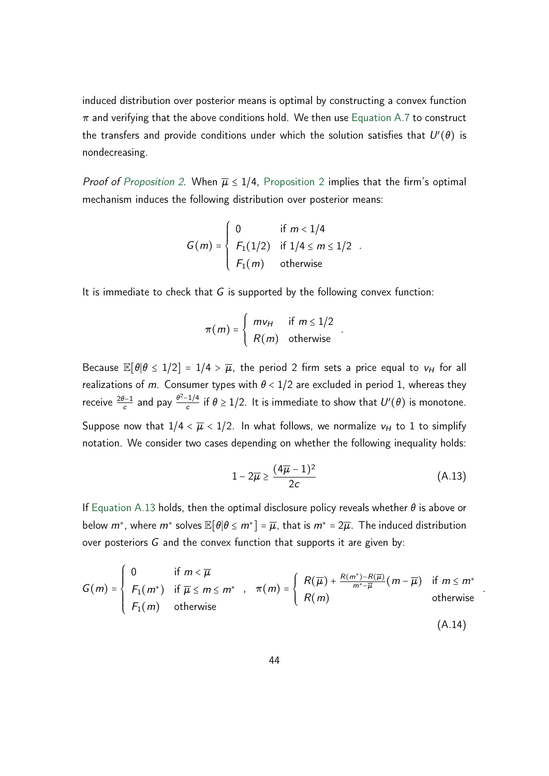induced distribution over posterior means is optimal by constructing a convex function  $\pi$  and verifying that the above conditions hold. We then use [Equation A.7](#page-41-0) to construct the transfers and provide conditions under which the solution satisfies that  $U'(\theta)$  is nondecreasing.

*Proof of [Proposition 2.](#page-27-0)* When  $\overline{\mu} \leq 1/4$ , [Proposition 2](#page-27-0) implies that the firm's optimal mechanism induces the following distribution over posterior means:

$$
G(m) = \begin{cases} 0 & \text{if } m < 1/4 \\ F_1(1/2) & \text{if } 1/4 \le m \le 1/2 \\ F_1(m) & \text{otherwise} \end{cases}.
$$

It is immediate to check that *G* is supported by the following convex function:

$$
\pi(m) = \begin{cases} m v_H & \text{if } m \leq 1/2 \\ R(m) & \text{otherwise} \end{cases}
$$

Because  $\mathbb{E}[\theta|\theta \leq 1/2] = 1/4 > \overline{\mu}$ , the period 2 firm sets a price equal to  $v_H$  for all realizations of *m*. Consumer types with  $\theta$  < 1/2 are excluded in period 1, whereas they receive  $\frac{2\theta-1}{c}$  and pay  $\frac{\theta^2-1/4}{c}$  $\frac{c^{-(1/4)}}{c}$  if  $\theta \ge 1/2$ . It is immediate to show that  $U'(\theta)$  is monotone. Suppose now that  $1/4 < \overline{\mu} < 1/2$ . In what follows, we normalize  $v_H$  to 1 to simplify notation. We consider two cases depending on whether the following inequality holds:

$$
1 - 2\overline{\mu} \ge \frac{(4\overline{\mu} - 1)^2}{2c} \tag{A.13}
$$

<span id="page-43-0"></span>*:*

*:*

If [Equation A.13](#page-43-0) holds, then the optimal disclosure policy reveals whether  $\theta$  is above or below  $m^*$ , where  $m^*$  solves  $\mathbb{E}[\theta | \theta \leq m^*] = \overline{\mu}$ , that is  $m^* = 2\overline{\mu}$ . The induced distribution over posteriors *G* and the convex function that supports it are given by:

$$
G(m) = \begin{cases} 0 & \text{if } m < \overline{\mu} \\ F_1(m^*) & \text{if } \overline{\mu} \le m \le m^* \\ F_1(m) & \text{otherwise} \end{cases}, \quad \pi(m) = \begin{cases} R(\overline{\mu}) + \frac{R(m^*) - R(\overline{\mu})}{m^* - \overline{\mu}}(m - \overline{\mu}) & \text{if } m \le m^* \\ R(m) & \text{otherwise} \end{cases}
$$
(A.14)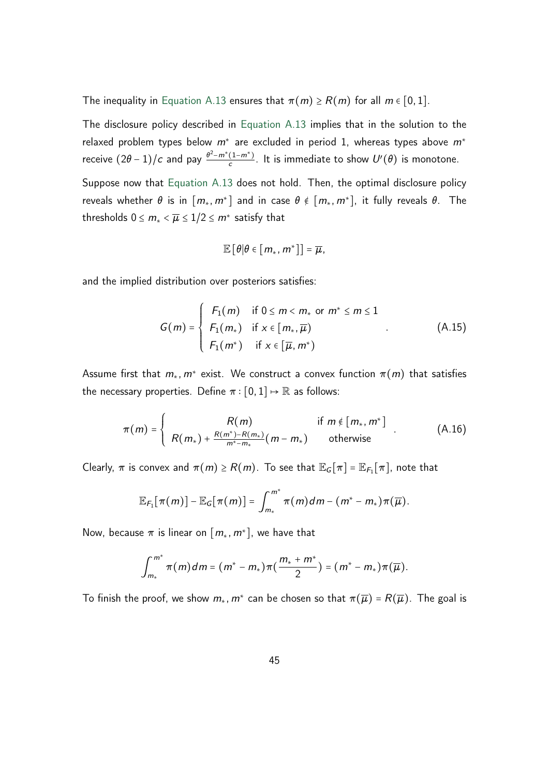The inequality in [Equation A.13](#page-43-0) ensures that  $\pi(m) \ge R(m)$  for all  $m \in [0,1]$ .

The disclosure policy described in [Equation A.13](#page-43-0) implies that in the solution to the relaxed problem types below *m*<sup>∗</sup> are excluded in period 1, whereas types above *m*<sup>∗</sup> receive  $(2\theta - 1)/c$  and pay  $\frac{\theta^2 - m^*(1 - m^*)}{c}$  $\frac{(1-m^2)}{c}$ . It is immediate to show  $U'(\theta)$  is monotone.

Suppose now that [Equation A.13](#page-43-0) does not hold. Then, the optimal disclosure policy reveals whether  $\theta$  is in  $[m_*, m^*]$  and in case  $\theta \notin [m_*, m^*]$ , it fully reveals  $\theta$ . The thresholds  $0 \le m_* < \overline{\mu} \le 1/2 \le m^*$  satisfy that

<span id="page-44-1"></span><span id="page-44-0"></span>
$$
\mathbb{E}\left[\theta|\theta\in\left[m_*,\,m^*\right]\right]=\overline{\mu},
$$

and the implied distribution over posteriors satisfies:

$$
G(m) = \begin{cases} F_1(m) & \text{if } 0 \le m < m_* \text{ or } m^* \le m \le 1 \\ F_1(m_*) & \text{if } x \in [m_*, \overline{\mu}) \\ F_1(m^*) & \text{if } x \in [\overline{\mu}, m^*) \end{cases}
$$
 (A.15)

Assume first that  $m_*$ ,  $m^*$  exist. We construct a convex function  $\pi(m)$  that satisfies the necessary properties. Define  $\pi : [0,1] \mapsto \mathbb{R}$  as follows:

$$
\pi(m) = \begin{cases}\nR(m) & \text{if } m \notin [m_*, m^*] \\
R(m_*) + \frac{R(m^*) - R(m_*)}{m^* - m_*}(m - m_*) & \text{otherwise}\n\end{cases}
$$
\n(A.16)

Clearly,  $\pi$  is convex and  $\pi(m) \ge R(m)$ . To see that  $\mathbb{E}_G[\pi] = \mathbb{E}_{F_1}[\pi]$ , note that

$$
\mathbb{E}_{F_1}[\pi(m)] - \mathbb{E}_G[\pi(m)] = \int_{m_*}^{m^*} \pi(m) dm - (m^* - m_*)\pi(\overline{\mu}).
$$

Now, because  $\pi$  is linear on  $[m_*, m^*]$ , we have that

$$
\int_{m_*}^{m^*} \pi(m) dm = (m^* - m_*) \pi(\frac{m_* + m^*}{2}) = (m^* - m_*) \pi(\overline{\mu}).
$$

To finish the proof, we show  $m_*$ ,  $m^*$  can be chosen so that  $\pi(\overline{\mu}) = R(\overline{\mu})$ . The goal is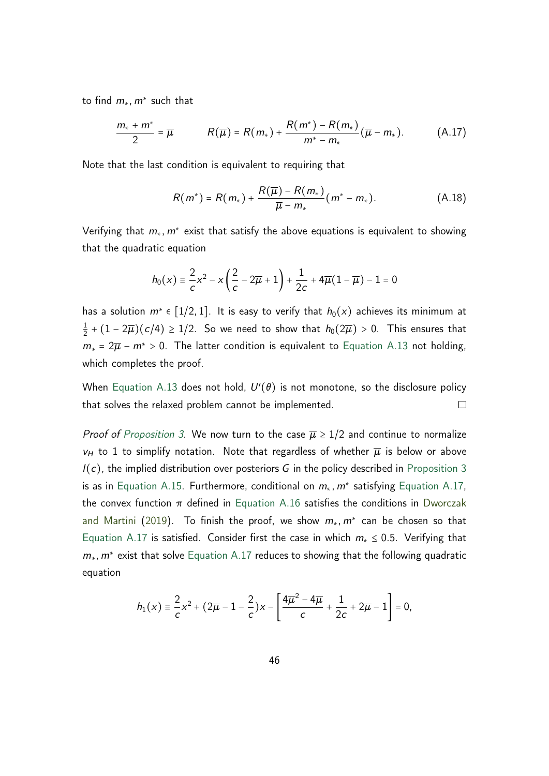to find *m*∗*; m*<sup>∗</sup> such that

$$
\frac{m_{*}+m^{*}}{2}=\overline{\mu} \qquad R(\overline{\mu})=R(m_{*})+\frac{R(m^{*})-R(m_{*})}{m^{*}-m_{*}}(\overline{\mu}-m_{*}). \qquad (A.17)
$$

Note that the last condition is equivalent to requiring that

<span id="page-45-0"></span>
$$
R(m^*) = R(m_*) + \frac{R(\overline{\mu}) - R(m_*)}{\overline{\mu} - m_*}(m^* - m_*).
$$
 (A.18)

Verifying that *m*∗*; m*<sup>∗</sup> exist that satisfy the above equations is equivalent to showing that the quadratic equation

$$
h_0(x)\equiv \frac{2}{c}x^2-x\left(\frac{2}{c}-2\overline{\mu}+1\right)+\frac{1}{2c}+4\overline{\mu}\big(1-\overline{\mu}\big)-1=0
$$

has a solution  $m^* \in [1/2, 1]$ . It is easy to verify that  $h_0(x)$  achieves its minimum at 1  $\frac{1}{2} + (1 - 2\overline{\mu})(c/4) \ge 1/2$ . So we need to show that  $h_0(2\overline{\mu}) > 0$ . This ensures that  $m_* = 2\overline{\mu} - m^* > 0$ . The latter condition is equivalent to [Equation A.13](#page-43-0) not holding, which completes the proof.

When [Equation A.13](#page-43-0) does not hold,  $U'(\theta)$  is not monotone, so the disclosure policy that solves the relaxed problem cannot be implemented.  $\Box$ 

*Proof of [Proposition 3.](#page-30-0)* We now turn to the case  $\bar{\mu} \geq 1/2$  and continue to normalize  $v_H$  to 1 to simplify notation. Note that regardless of whether  $\overline{\mu}$  is below or above *l*(*c*), the implied distribution over posteriors *G* in the policy described in [Proposition 3](#page-30-0) is as in [Equation A.15.](#page-44-0) Furthermore, conditional on *m*∗*; m*<sup>∗</sup> satisfying [Equation A.17,](#page-45-0) the convex function  $\pi$  defined in [Equation A.16](#page-44-1) satisfies the conditions in [Dworczak](#page-35-4) [and Martini](#page-35-4) [\(2019\)](#page-35-4). To finish the proof, we show *m*∗*; m*<sup>∗</sup> can be chosen so that [Equation A.17](#page-45-0) is satisfied. Consider first the case in which *m*<sup>∗</sup> ≤ 0*:*5. Verifying that *m*∗*; m*<sup>∗</sup> exist that solve [Equation A.17](#page-45-0) reduces to showing that the following quadratic equation

$$
h_1(x) \equiv \frac{2}{c}x^2 + (2\overline{\mu} - 1 - \frac{2}{c})x - \left[\frac{4\overline{\mu}^2 - 4\overline{\mu}}{c} + \frac{1}{2c} + 2\overline{\mu} - 1\right] = 0,
$$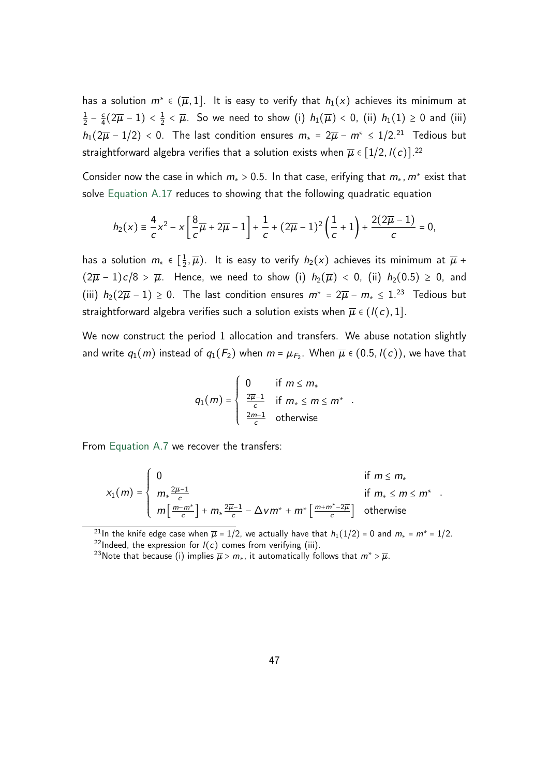has a solution  $m^* \in (\overline{\mu}, 1]$ . It is easy to verify that  $h_1(x)$  achieves its minimum at 1  $rac{1}{2} - \frac{c}{4}$  $\frac{c}{4}(2\overline{\mu}-1)<\frac{1}{2}$  $\frac{1}{2}$  <  $\overline{\mu}$ . So we need to show (i)  $h_1(\overline{\mu})$  < 0, (ii)  $h_1(1) \ge 0$  and (iii)  $h_1(2\overline{\mu}-1/2)$  < 0. The last condition ensures  $m_* = 2\overline{\mu} - m^* \leq 1/2^{21}$  Tedious but straightforward algebra verifies that a solution exists when  $\overline{\mu} \in [1/2, l(c)]^{.22}$ 

Consider now the case in which *m*<sup>∗</sup> > 0*:*5. In that case, erifying that *m*∗*; m*<sup>∗</sup> exist that solve [Equation A.17](#page-45-0) reduces to showing that the following quadratic equation

$$
h_2(x) \equiv \frac{4}{c}x^2 - x \left[ \frac{8}{c} \overline{\mu} + 2 \overline{\mu} - 1 \right] + \frac{1}{c} + (2\overline{\mu} - 1)^2 \left( \frac{1}{c} + 1 \right) + \frac{2(2\overline{\mu} - 1)}{c} = 0,
$$

has a solution  $m_* \in \left[\frac{1}{2}\right]$  $\frac{1}{2}$ ,  $\overline{\mu}$ ). It is easy to verify  $h_2(x)$  achieves its minimum at  $\overline{\mu}$  +  $(2\overline{\mu} - 1)c/8 > \overline{\mu}$ . Hence, we need to show (i)  $h_2(\overline{\mu}) < 0$ , (ii)  $h_2(0.5) \ge 0$ , and (iii)  $h_2(2\overline{\mu} - 1) \ge 0$ . The last condition ensures  $m^* = 2\overline{\mu} - m_* \le 1^{23}$  Tedious but straightforward algebra verifies such a solution exists when  $\overline{\mu} \in (I(c), 1]$ .

We now construct the period 1 allocation and transfers. We abuse notation slightly and write  $q_1(m)$  instead of  $q_1(\mathcal{F}_2)$  when  $m = \mu_{\mathcal{F}_2}$ . When  $\overline{\mu} \in (0.5, l(\mathcal{c}))$ , we have that

$$
q_1(m) = \begin{cases} 0 & \text{if } m \leq m_* \\ \frac{2\overline{\mu}-1}{c} & \text{if } m_* \leq m \leq m^* \\ \frac{2m-1}{c} & \text{otherwise} \end{cases}
$$

From [Equation A.7](#page-41-0) we recover the transfers:

$$
x_1(m) = \begin{cases} 0 & \text{if } m \le m_* \\ m_* \frac{2\overline{\mu}-1}{c} & \text{if } m_* \le m \le m^* \\ m \left[ \frac{m-m^*}{c} \right] + m_* \frac{2\overline{\mu}-1}{c} - \Delta v m^* + m^* \left[ \frac{m+m^*-2\overline{\mu}}{c} \right] & \text{otherwise} \end{cases}
$$

<sup>21</sup>In the knife edge case when  $\overline{\mu} = 1/2$ , we actually have that  $h_1(1/2) = 0$  and  $m_* = m^* = 1/2$ . <sup>22</sup>Indeed, the expression for  $I(c)$  comes from verifying (iii).

<sup>23</sup>Note that because (i) implies  $\overline{\mu} > m_*$ , it automatically follows that  $m^* > \overline{\mu}$ .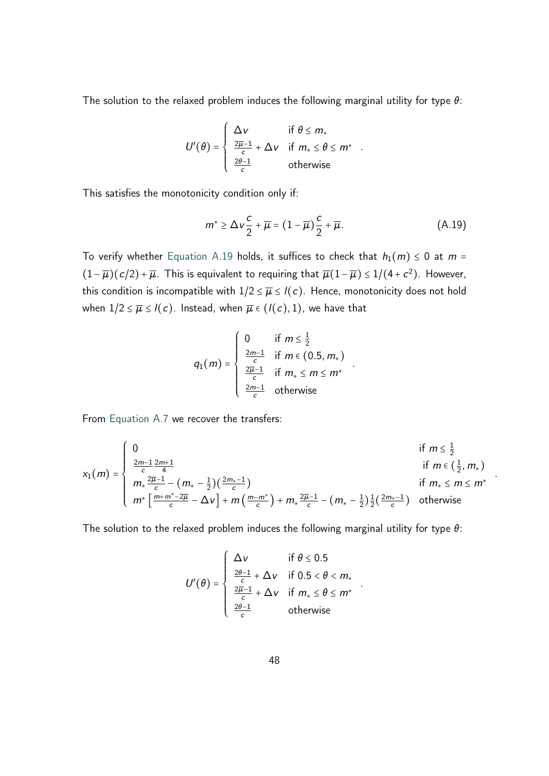The solution to the relaxed problem induces the following marginal utility for type  $\theta$ :

$$
U'(\theta) = \begin{cases} \Delta v & \text{if } \theta \leq m_* \\ \frac{2\overline{\mu}-1}{c} + \Delta v & \text{if } m_* \leq \theta \leq m^* \\ \frac{2\theta-1}{c} & \text{otherwise} \end{cases}
$$

This satisfies the monotonicity condition only if:

<span id="page-47-0"></span>
$$
m^* \ge \Delta v \frac{c}{2} + \overline{\mu} = (1 - \overline{\mu}) \frac{c}{2} + \overline{\mu}.
$$
 (A.19)

To verify whether [Equation A.19](#page-47-0) holds, it suffices to check that  $h_1(m) \leq 0$  at  $m =$  $(1 - \overline{\mu})(c/2) + \overline{\mu}$ . This is equivalent to requiring that  $\overline{\mu}(1 - \overline{\mu}) \leq 1/(4 + c^2)$ . However, this condition is incompatible with  $1/2 \leq \overline{\mu} \leq l(c)$ . Hence, monotonicity does not hold when  $1/2 \leq \overline{\mu} \leq l(c)$ . Instead, when  $\overline{\mu} \in (l(c), 1)$ , we have that

$$
q_1(m) = \begin{cases} 0 & \text{if } m \leq \frac{1}{2} \\ \frac{2m-1}{c} & \text{if } m \in (0.5, m_*) \\ \frac{2\overline{\mu}-1}{c} & \text{if } m_* \leq m \leq m^* \\ \frac{2m-1}{c} & \text{otherwise} \end{cases}
$$

From [Equation A.7](#page-41-0) we recover the transfers:

$$
x_1(m) = \begin{cases} 0 & \text{if } m \leq \frac{1}{2} \\ \frac{2m-1}{c} \frac{2m+1}{4} & \text{if } m \in (\frac{1}{2}, m_*) \\ m_* \frac{2\overline{\mu}-1}{c} - (m_* - \frac{1}{2})(\frac{2m_*-1}{c}) & \text{if } m_* \leq m \leq m^* \\ m^* \left[ \frac{m+m^*-2\overline{\mu}}{c} - \Delta v \right] + m \left( \frac{m-m^*}{c} \right) + m_* \frac{2\overline{\mu}-1}{c} - (m_* - \frac{1}{2}) \frac{1}{2} (\frac{2m_*-1}{c}) & \text{otherwise} \end{cases}
$$

*:*

The solution to the relaxed problem induces the following marginal utility for type  $\theta$ :

$$
U'(\theta) = \begin{cases} \Delta v & \text{if } \theta \le 0.5\\ \frac{2\theta - 1}{c} + \Delta v & \text{if } 0.5 < \theta < m_*\\ \frac{2\overline{\mu} - 1}{c} + \Delta v & \text{if } m_* \le \theta \le m^*\\ \frac{2\theta - 1}{c} & \text{otherwise} \end{cases}
$$

*:*